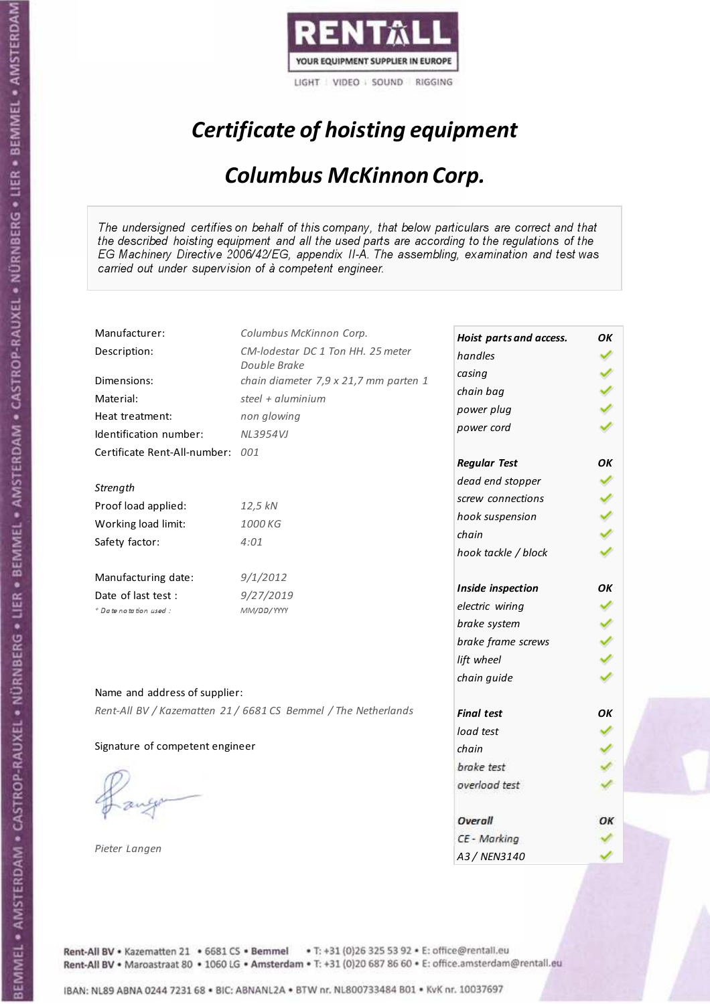

# Certificate of hoisting equipment

### Columbus McKinnon Corp.

The undersigned certifies on behalf of this company, that below particulars are correct and that the described hoisting equipment and all the used parts are according to the regulations of the EG Machinery Directive 2006/42/EG, appendix II-A. The assembling, examination and test was carried out under supervision of à competent engineer.

| Manufacturer:                    | Columbus McKinnon Corp.                                        | Hoist parts and access. | OК |
|----------------------------------|----------------------------------------------------------------|-------------------------|----|
| Description:                     | CM-lodestar DC 1 Ton HH. 25 meter                              | handles                 |    |
|                                  | Double Brake                                                   | casing                  |    |
| Dimensions:                      | chain diameter 7,9 x 21,7 mm parten 1                          | chain bag               |    |
| Material:                        | steel + aluminium                                              | power plug              |    |
| Heat treatment:                  | non glowing                                                    | power cord              |    |
| Identification number:           | <b>NL3954VJ</b>                                                |                         |    |
| Certificate Rent-All-number: 001 |                                                                | <b>Regular Test</b>     | OK |
| Strength                         |                                                                | dead end stopper        |    |
| Proof load applied:              | 12,5 kN                                                        | screw connections       |    |
|                                  | 1000 KG                                                        | hook suspension         |    |
| Working load limit:              |                                                                | chain                   |    |
| Safety factor:                   | 4:01                                                           | hook tackle / block     |    |
| Manufacturing date:              | 9/1/2012                                                       |                         |    |
| Date of last test :              | 9/27/2019                                                      | Inside inspection       | ΟK |
| + Date notation used :           | MM/DD/YYYY                                                     | electric wiring         |    |
|                                  |                                                                | brake system            |    |
|                                  |                                                                | brake frame screws      |    |
|                                  |                                                                | lift wheel              |    |
| Name and address of supplier:    |                                                                | chain guide             |    |
|                                  | Rent-All BV / Kazematten 21 / 6681 CS Bemmel / The Netherlands | <b>Final test</b>       | OK |
|                                  |                                                                | load test               |    |
| Signature of competent engineer  |                                                                | chain                   |    |
|                                  |                                                                | brake test              |    |
|                                  |                                                                | overload test           |    |
|                                  |                                                                |                         |    |
|                                  |                                                                | Overall                 | ОК |
|                                  |                                                                | CE - Marking            |    |
| Pieter Langen                    |                                                                | A3 / NEN3140            |    |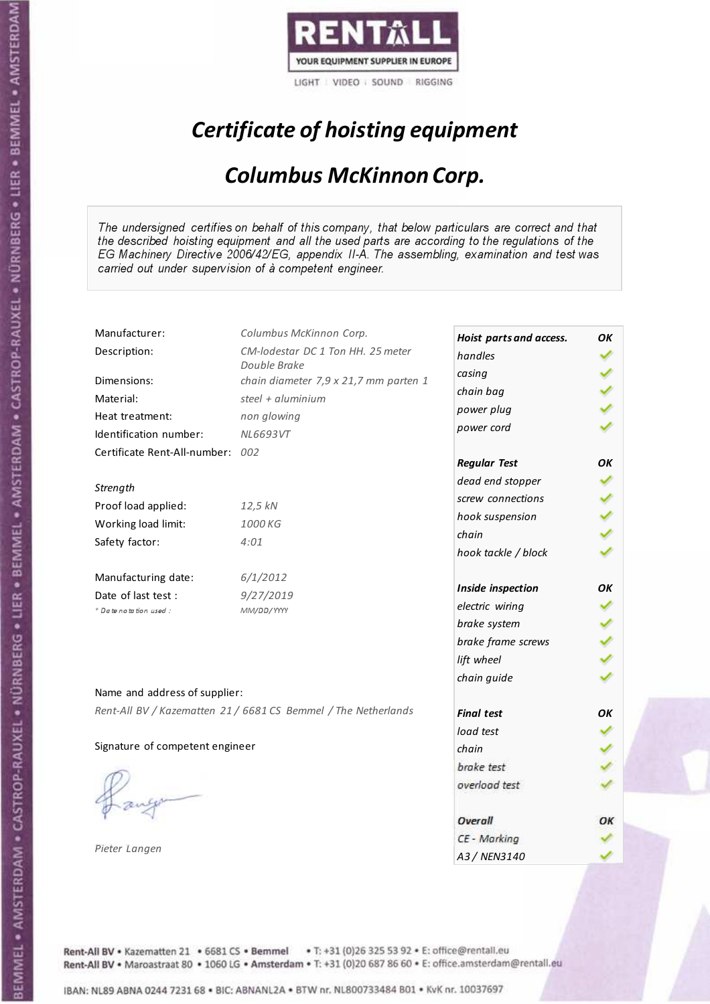

# Certificate of hoisting equipment

### Columbus McKinnon Corp.

The undersigned certifies on behalf of this company, that below particulars are correct and that the described hoisting equipment and all the used parts are according to the regulations of the EG Machinery Directive 2006/42/EG, appendix II-A. The assembling, examination and test was carried out under supervision of à competent engineer.

| Manufacturer:                    | Columbus McKinnon Corp.                                        | Hoist parts and access. | OК |
|----------------------------------|----------------------------------------------------------------|-------------------------|----|
| Description:                     | CM-lodestar DC 1 Ton HH. 25 meter                              | handles                 |    |
|                                  | Double Brake                                                   | casing                  |    |
| Dimensions:                      | chain diameter 7,9 x 21,7 mm parten 1                          | chain bag               |    |
| Material:                        | steel $+$ aluminium                                            | power plug              |    |
| Heat treatment:                  | non glowing                                                    | power cord              |    |
| Identification number:           | <b>NL6693VT</b>                                                |                         |    |
| Certificate Rent-All-number: 002 |                                                                | <b>Regular Test</b>     | OΚ |
| Strength                         |                                                                | dead end stopper        |    |
| Proof load applied:              | 12,5 kN                                                        | screw connections       |    |
| Working load limit:              | 1000 KG                                                        | hook suspension         |    |
|                                  |                                                                | chain                   |    |
| Safety factor:                   | 4:01                                                           | hook tackle / block     |    |
| Manufacturing date:              | 6/1/2012                                                       |                         |    |
| Date of last test :              | 9/27/2019                                                      | Inside inspection       | OK |
| + Date notation used:            | MM/DD/YYYY                                                     | electric wiring         |    |
|                                  |                                                                | brake system            |    |
|                                  |                                                                | brake frame screws      |    |
|                                  |                                                                | lift wheel              |    |
| Name and address of supplier:    |                                                                | chain guide             |    |
|                                  | Rent-All BV / Kazematten 21 / 6681 CS Bemmel / The Netherlands |                         |    |
|                                  |                                                                | <b>Final test</b>       | OK |
|                                  |                                                                | load test               |    |
| Signature of competent engineer  |                                                                | chain                   |    |
|                                  |                                                                | brake test              |    |
|                                  |                                                                | overload test           |    |
|                                  |                                                                | Overall                 | ОК |
|                                  |                                                                | CE - Marking            |    |
| Pieter Langen                    |                                                                | A3 / NEN3140            |    |

Rent-All BV . Kazematten 21 . 6681 CS . Bemmel . T: +31 (0)26 325 53 92 . E: office@rentall.eu Rent-All BV · Maroastraat 80 · 1060 LG · Amsterdam · T: +31 (0)20 687 86 60 · E: office.amsterdam@rentall.eu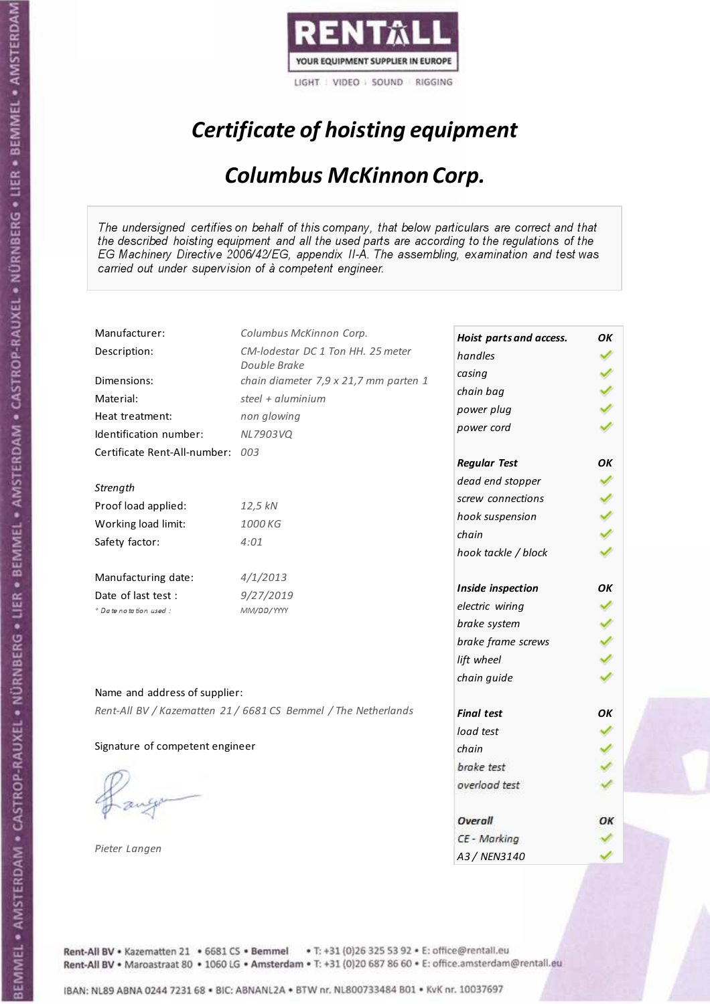

# Certificate of hoisting equipment

### Columbus McKinnon Corp.

The undersigned certifies on behalf of this company, that below particulars are correct and that the described hoisting equipment and all the used parts are according to the regulations of the EG Machinery Directive 2006/42/EG, appendix II-A. The assembling, examination and test was carried out under supervision of à competent engineer.

| Manufacturer:                    | Columbus McKinnon Corp.                                        | Hoist parts and access. | OК |
|----------------------------------|----------------------------------------------------------------|-------------------------|----|
| Description:                     | CM-lodestar DC 1 Ton HH. 25 meter                              | handles                 |    |
|                                  | Double Brake                                                   | casing                  |    |
| Dimensions:                      | chain diameter 7,9 x 21,7 mm parten 1                          | chain bag               |    |
| Material:                        | steel + aluminium                                              | power plug              |    |
| Heat treatment:                  | non glowing                                                    | power cord              |    |
| Identification number:           | NL7903VQ                                                       |                         |    |
| Certificate Rent-All-number: 003 |                                                                | <b>Regular Test</b>     | OK |
| Strength                         |                                                                | dead end stopper        |    |
|                                  |                                                                | screw connections       |    |
| Proof load applied:              | 12,5 kN                                                        | hook suspension         |    |
| Working load limit:              | 1000 KG                                                        | chain                   |    |
| Safety factor:                   | 4:01                                                           | hook tackle / block     |    |
| Manufacturing date:              | 4/1/2013                                                       |                         |    |
| Date of last test :              | 9/27/2019                                                      | Inside inspection       | OК |
| + Date notation used :           | MM/DD/YYYY                                                     | electric wiring         |    |
|                                  |                                                                | brake system            |    |
|                                  |                                                                | brake frame screws      |    |
|                                  |                                                                | lift wheel              |    |
| Name and address of supplier:    |                                                                | chain guide             |    |
|                                  | Rent-All BV / Kazematten 21 / 6681 CS Bemmel / The Netherlands |                         |    |
|                                  |                                                                | <b>Final test</b>       | OK |
|                                  |                                                                | load test               |    |
| Signature of competent engineer  |                                                                | chain                   |    |
|                                  |                                                                | brake test              |    |
|                                  |                                                                | overload test           |    |
|                                  |                                                                | Overall                 | ОК |
|                                  |                                                                | CE - Marking            |    |
| Pieter Langen                    |                                                                | A3 / NEN3140            |    |

Rent-All BV . Kazematten 21 . 6681 CS . Bemmel . T: +31 (0)26 325 53 92 . E: office@rentall.eu Rent-All BV · Maroastraat 80 · 1060 LG · Amsterdam · T: +31 (0)20 687 86 60 · E: office.amsterdam@rentall.eu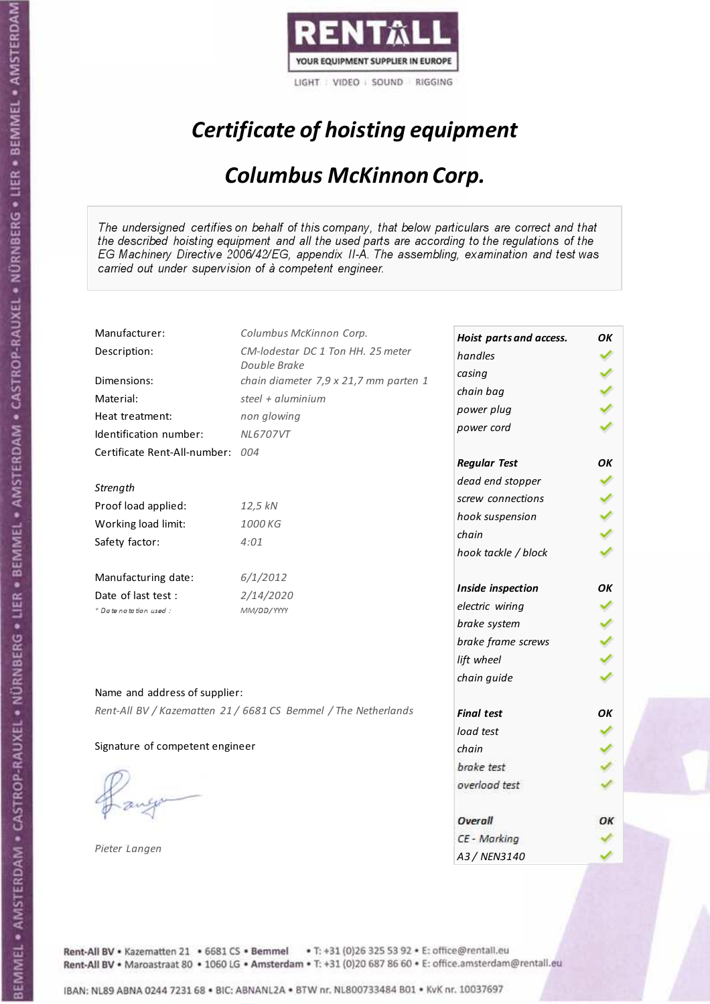

# Certificate of hoisting equipment

### Columbus McKinnon Corp.

The undersigned certifies on behalf of this company, that below particulars are correct and that the described hoisting equipment and all the used parts are according to the regulations of the EG Machinery Directive 2006/42/EG, appendix II-A. The assembling, examination and test was carried out under supervision of à competent engineer.

| Manufacturer:                                                    | Columbus McKinnon Corp.                                        | Hoist parts and access.                                                                                                           | OК             |
|------------------------------------------------------------------|----------------------------------------------------------------|-----------------------------------------------------------------------------------------------------------------------------------|----------------|
| Description:                                                     | CM-lodestar DC 1 Ton HH. 25 meter                              | handles                                                                                                                           |                |
| Dimensions:                                                      | Double Brake                                                   | casing                                                                                                                            |                |
|                                                                  | chain diameter 7,9 x 21,7 mm parten 1                          | chain bag                                                                                                                         |                |
| Material:                                                        | steel + aluminium                                              | power plug                                                                                                                        |                |
| Heat treatment:                                                  | non glowing                                                    | power cord                                                                                                                        |                |
| Identification number:                                           | <b>NL6707VT</b>                                                |                                                                                                                                   |                |
| Certificate Rent-All-number: 004                                 |                                                                | <b>Regular Test</b>                                                                                                               | OК             |
| Strength                                                         |                                                                | dead end stopper                                                                                                                  |                |
| Proof load applied:                                              | 12,5 kN                                                        | screw connections                                                                                                                 |                |
|                                                                  |                                                                | hook suspension                                                                                                                   |                |
| Working load limit:                                              | 1000 KG                                                        | chain                                                                                                                             |                |
| Safety factor:                                                   | 4:01                                                           | hook tackle / block                                                                                                               |                |
| Manufacturing date:                                              | 6/1/2012                                                       |                                                                                                                                   |                |
| Date of last test :                                              | 2/14/2020                                                      |                                                                                                                                   |                |
| * Date notation used :                                           | MM/DD/YYYY                                                     |                                                                                                                                   |                |
|                                                                  |                                                                |                                                                                                                                   |                |
|                                                                  |                                                                | brake frame screws                                                                                                                |                |
|                                                                  |                                                                | lift wheel                                                                                                                        |                |
|                                                                  |                                                                | chain guide                                                                                                                       |                |
|                                                                  |                                                                |                                                                                                                                   |                |
|                                                                  |                                                                |                                                                                                                                   |                |
|                                                                  |                                                                |                                                                                                                                   |                |
|                                                                  |                                                                | chain                                                                                                                             |                |
|                                                                  |                                                                | brake test                                                                                                                        |                |
|                                                                  |                                                                | overload test                                                                                                                     |                |
|                                                                  |                                                                |                                                                                                                                   |                |
|                                                                  |                                                                |                                                                                                                                   |                |
| Pieter Langen                                                    |                                                                |                                                                                                                                   |                |
| Name and address of supplier:<br>Signature of competent engineer | Rent-All BV / Kazematten 21 / 6681 CS Bemmel / The Netherlands | Inside inspection<br>electric wiring<br>brake system<br><b>Final test</b><br>load test<br>Overall<br>CE - Marking<br>A3 / NEN3140 | ΟK<br>OK<br>ОК |

Rent-All BV . Kazematten 21 . 6681 CS . Bemmel . T: +31 (0)26 325 53 92 . E: office@rentall.eu Rent-All BV · Maroastraat 80 · 1060 LG · Amsterdam · T: +31 (0)20 687 86 60 · E: office.amsterdam@rentall.eu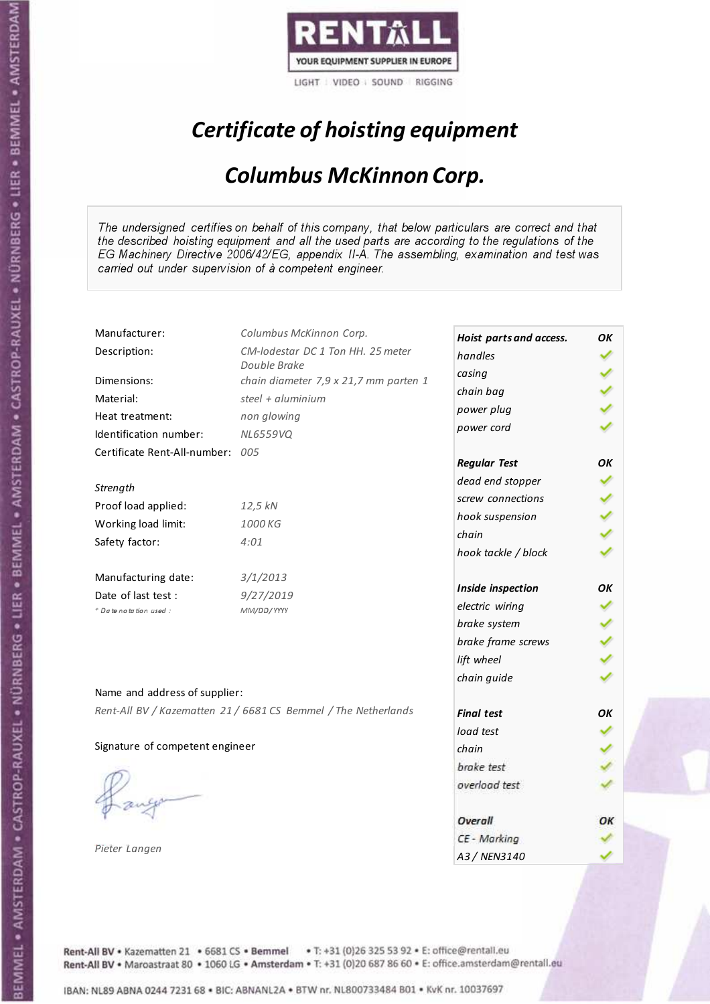

# Certificate of hoisting equipment

### Columbus McKinnon Corp.

The undersigned certifies on behalf of this company, that below particulars are correct and that the described hoisting equipment and all the used parts are according to the regulations of the EG Machinery Directive 2006/42/EG, appendix II-A. The assembling, examination and test was carried out under supervision of à competent engineer.

| Manufacturer:                    | Columbus McKinnon Corp.                                        | Hoist parts and access. | OК |
|----------------------------------|----------------------------------------------------------------|-------------------------|----|
| Description:                     | CM-lodestar DC 1 Ton HH. 25 meter                              | handles                 |    |
|                                  | Double Brake                                                   | casing                  |    |
| Dimensions:                      | chain diameter 7,9 x 21,7 mm parten 1                          | chain bag               |    |
| Material:                        | steel + $aluminim$                                             | power plug              |    |
| Heat treatment:                  | non glowing                                                    | power cord              |    |
| Identification number:           | <b>NL6559VQ</b>                                                |                         |    |
| Certificate Rent-All-number: 005 |                                                                | <b>Regular Test</b>     | OК |
| Strength                         |                                                                | dead end stopper        |    |
|                                  |                                                                | screw connections       |    |
| Proof load applied:              | 12,5 kN                                                        | hook suspension         |    |
| Working load limit:              | 1000 KG                                                        | chain                   |    |
| Safety factor:                   | 4:01                                                           | hook tackle / block     |    |
| Manufacturing date:              | 3/1/2013                                                       |                         |    |
| Date of last test :              | 9/27/2019                                                      | Inside inspection       | ΟK |
| + Date notation used :           | MM/DD/YYYY                                                     | electric wiring         |    |
|                                  |                                                                | brake system            |    |
|                                  |                                                                | brake frame screws      |    |
|                                  |                                                                | lift wheel              |    |
| Name and address of supplier:    |                                                                | chain guide             |    |
|                                  | Rent-All BV / Kazematten 21 / 6681 CS Bemmel / The Netherlands |                         |    |
|                                  |                                                                | <b>Final test</b>       | OK |
|                                  |                                                                | load test               |    |
| Signature of competent engineer  |                                                                | chain                   |    |
|                                  |                                                                | brake test              |    |
|                                  |                                                                | overload test           |    |
|                                  |                                                                | Overall                 | ОК |
|                                  |                                                                | CE - Marking            |    |
| Pieter Langen                    |                                                                | A3 / NEN3140            |    |

Rent-All BV . Kazematten 21 . 6681 CS . Bemmel . T: +31 (0)26 325 53 92 . E: office@rentall.eu Rent-All BV · Maroastraat 80 · 1060 LG · Amsterdam · T: +31 (0)20 687 86 60 · E: office.amsterdam@rentall.eu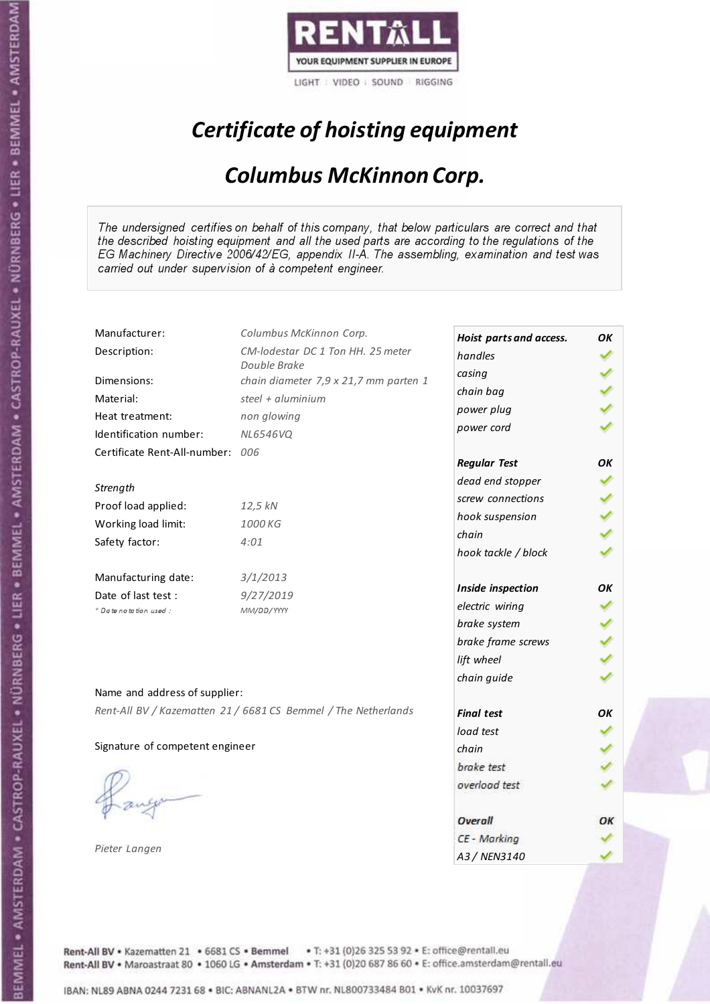

# Certificate of hoisting equipment

### Columbus McKinnon Corp.

The undersigned certifies on behalf of this company, that below particulars are correct and that the described hoisting equipment and all the used parts are according to the regulations of the EG Machinery Directive 2006/42/EG, appendix II-A. The assembling, examination and test was carried out under supervision of à competent engineer.

| Manufacturer:                    | Columbus McKinnon Corp.                                        | Hoist parts and access. | OК |
|----------------------------------|----------------------------------------------------------------|-------------------------|----|
| Description:                     | CM-lodestar DC 1 Ton HH. 25 meter                              | handles                 |    |
|                                  | Double Brake                                                   | casing                  |    |
| Dimensions:                      | chain diameter 7,9 x 21,7 mm parten 1                          | chain bag               |    |
| Material:                        | steel + $aluminim$                                             | power plug              |    |
| Heat treatment:                  | non glowing                                                    | power cord              |    |
| Identification number:           | <b>NL6546VQ</b>                                                |                         |    |
| Certificate Rent-All-number: 006 |                                                                | <b>Regular Test</b>     | OК |
| Strength                         |                                                                | dead end stopper        |    |
|                                  |                                                                | screw connections       |    |
| Proof load applied:              | 12,5 kN                                                        | hook suspension         |    |
| Working load limit:              | 1000 KG                                                        | chain                   |    |
| Safety factor:                   | 4:01                                                           | hook tackle / block     |    |
| Manufacturing date:              | 3/1/2013                                                       |                         |    |
| Date of last test :              | 9/27/2019                                                      | Inside inspection       | ΟK |
| + Date notation used :           | MM/DD/YYYY                                                     | electric wiring         |    |
|                                  |                                                                | brake system            |    |
|                                  |                                                                | brake frame screws      |    |
|                                  |                                                                | lift wheel              |    |
| Name and address of supplier:    |                                                                | chain guide             |    |
|                                  | Rent-All BV / Kazematten 21 / 6681 CS Bemmel / The Netherlands |                         |    |
|                                  |                                                                | <b>Final test</b>       | OK |
| Signature of competent engineer  |                                                                | load test               |    |
|                                  |                                                                | chain                   |    |
|                                  |                                                                | brake test              |    |
|                                  |                                                                | overload test           |    |
|                                  |                                                                | Overall                 | ОК |
|                                  |                                                                | CE - Marking            |    |
| Pieter Langen                    |                                                                | A3 / NEN3140            |    |

Rent-All BV . Kazematten 21 . 6681 CS . Bemmel . T: +31 (0)26 325 53 92 . E: office@rentall.eu Rent-All BV · Maroastraat 80 · 1060 LG · Amsterdam · T: +31 (0)20 687 86 60 · E: office.amsterdam@rentall.eu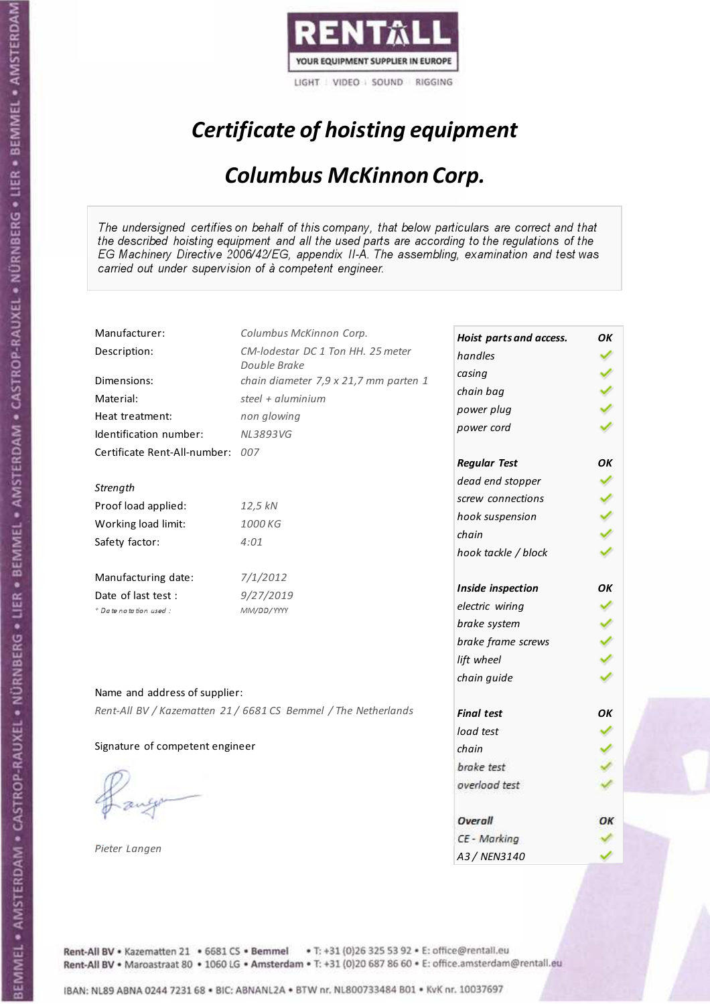

# Certificate of hoisting equipment

### Columbus McKinnon Corp.

The undersigned certifies on behalf of this company, that below particulars are correct and that the described hoisting equipment and all the used parts are according to the regulations of the EG Machinery Directive 2006/42/EG, appendix II-A. The assembling, examination and test was carried out under supervision of à competent engineer.

| Manufacturer:                    | Columbus McKinnon Corp.                                        | Hoist parts and access. | OК |
|----------------------------------|----------------------------------------------------------------|-------------------------|----|
| Description:                     | CM-lodestar DC 1 Ton HH. 25 meter                              | handles                 |    |
|                                  | Double Brake                                                   | casing                  |    |
| Dimensions:                      | chain diameter 7,9 x 21,7 mm parten 1                          | chain bag               |    |
| Material:                        | steel $+$ aluminium                                            | power plug              |    |
| Heat treatment:                  | non glowing                                                    | power cord              |    |
| Identification number:           | <b>NL3893VG</b>                                                |                         |    |
| Certificate Rent-All-number: 007 |                                                                | <b>Regular Test</b>     | OΚ |
| Strength                         |                                                                | dead end stopper        |    |
| Proof load applied:              |                                                                | screw connections       |    |
|                                  | 12,5 kN                                                        | hook suspension         |    |
| Working load limit:              | 1000 KG                                                        | chain                   |    |
| Safety factor:                   | 4:01                                                           | hook tackle / block     |    |
| Manufacturing date:              | 7/1/2012                                                       |                         |    |
| Date of last test :              | 9/27/2019                                                      | Inside inspection       | OK |
| + Date notation used:            | MM/DD/YYYY                                                     | electric wiring         |    |
|                                  |                                                                | brake system            |    |
|                                  |                                                                | brake frame screws      |    |
|                                  |                                                                | lift wheel              |    |
|                                  |                                                                | chain guide             |    |
| Name and address of supplier:    |                                                                |                         |    |
|                                  | Rent-All BV / Kazematten 21 / 6681 CS Bemmel / The Netherlands | <b>Final test</b>       | OK |
|                                  |                                                                | load test               |    |
| Signature of competent engineer  |                                                                | chain                   |    |
|                                  |                                                                | brake test              |    |
|                                  |                                                                | overload test           |    |
|                                  |                                                                | Overall                 | ОК |
|                                  |                                                                | CE - Marking            |    |
| Pieter Langen                    |                                                                | A3 / NEN3140            |    |

Rent-All BV . Kazematten 21 . 6681 CS . Bemmel . T: +31 (0)26 325 53 92 . E: office@rentall.eu Rent-All BV · Maroastraat 80 · 1060 LG · Amsterdam · T: +31 (0)20 687 86 60 · E: office.amsterdam@rentall.eu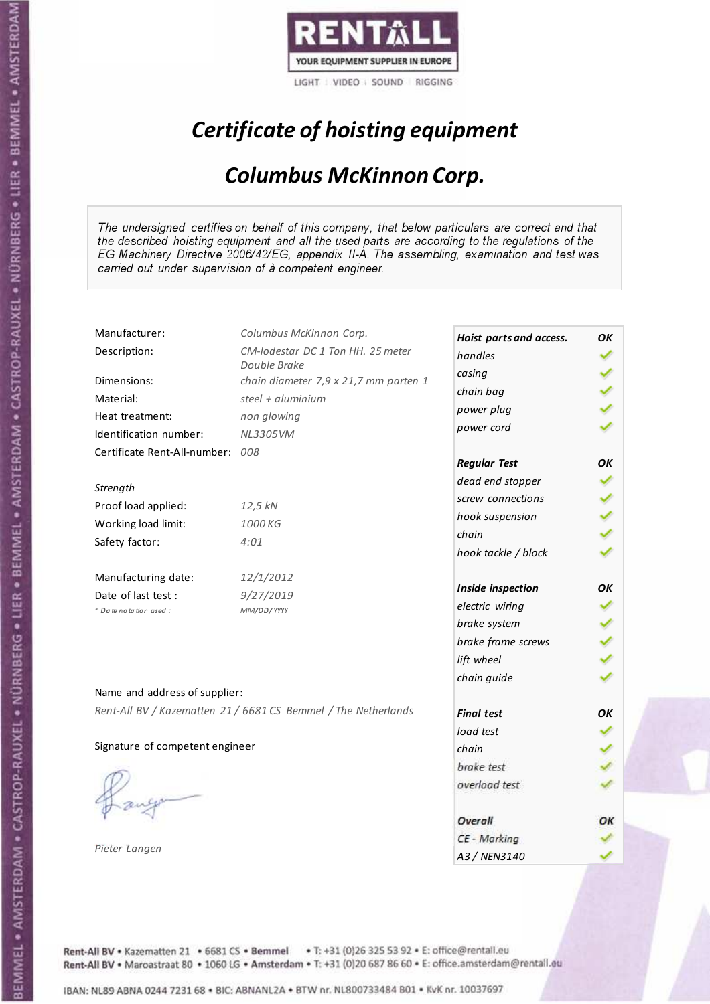

# Certificate of hoisting equipment

### Columbus McKinnon Corp.

The undersigned certifies on behalf of this company, that below particulars are correct and that the described hoisting equipment and all the used parts are according to the regulations of the EG Machinery Directive 2006/42/EG, appendix II-A. The assembling, examination and test was carried out under supervision of à competent engineer.

| Manufacturer:                    | Columbus McKinnon Corp.                                        | Hoist parts and access. | OК |
|----------------------------------|----------------------------------------------------------------|-------------------------|----|
| Description:                     | CM-lodestar DC 1 Ton HH. 25 meter                              | handles                 |    |
|                                  | Double Brake                                                   | casing                  |    |
| Dimensions:                      | chain diameter 7,9 x 21,7 mm parten 1                          | chain bag               |    |
| Material:                        | steel + aluminium                                              | power plug              |    |
| Heat treatment:                  | non glowing                                                    | power cord              |    |
| Identification number:           | NL3305VM                                                       |                         |    |
| Certificate Rent-All-number: 008 |                                                                | <b>Regular Test</b>     | OK |
| Strength                         |                                                                | dead end stopper        |    |
|                                  |                                                                | screw connections       |    |
| Proof load applied:              | 12,5 kN                                                        | hook suspension         |    |
| Working load limit:              | 1000 KG                                                        | chain                   |    |
| Safety factor:                   | 4:01                                                           | hook tackle / block     |    |
| Manufacturing date:              | 12/1/2012                                                      |                         |    |
| Date of last test :              | 9/27/2019                                                      | Inside inspection       | OК |
| + Date notation used :           | MM/DD/YYYY                                                     | electric wiring         |    |
|                                  |                                                                | brake system            |    |
|                                  |                                                                | brake frame screws      |    |
|                                  |                                                                | lift wheel              |    |
| Name and address of supplier:    |                                                                | chain guide             |    |
|                                  | Rent-All BV / Kazematten 21 / 6681 CS Bemmel / The Netherlands |                         |    |
|                                  |                                                                | <b>Final test</b>       | OK |
|                                  |                                                                | load test               |    |
| Signature of competent engineer  |                                                                | chain                   |    |
|                                  |                                                                | brake test              |    |
|                                  |                                                                | overload test           |    |
|                                  |                                                                | Overall                 | ОК |
|                                  |                                                                | CE - Marking            |    |
| Pieter Langen                    |                                                                | A3 / NEN3140            |    |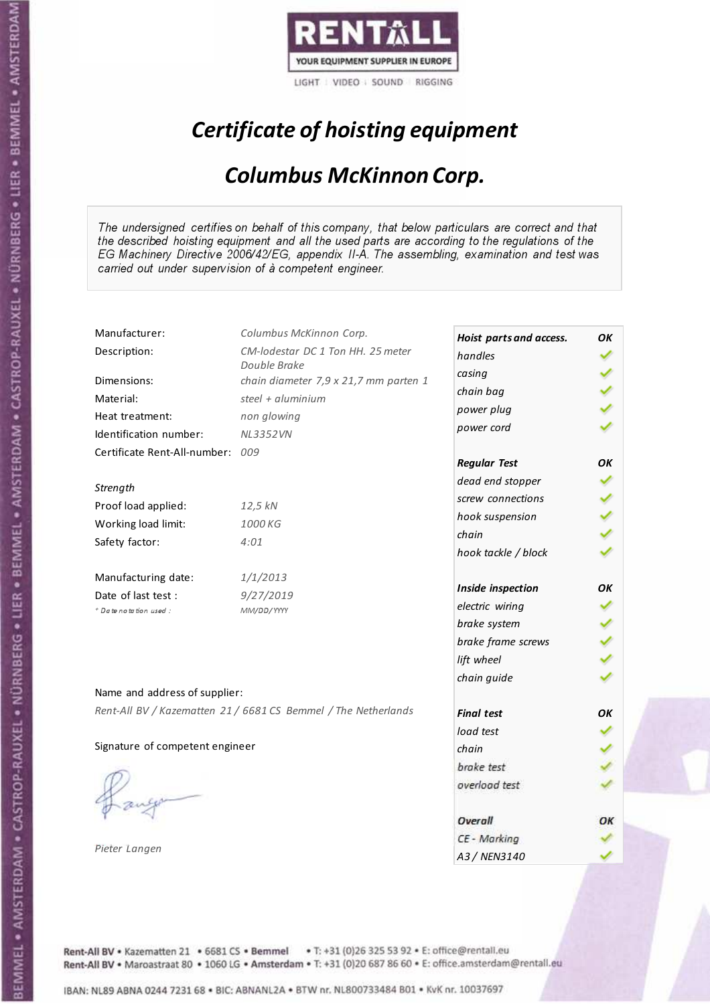

# Certificate of hoisting equipment

### Columbus McKinnon Corp.

The undersigned certifies on behalf of this company, that below particulars are correct and that the described hoisting equipment and all the used parts are according to the regulations of the EG Machinery Directive 2006/42/EG, appendix II-A. The assembling, examination and test was carried out under supervision of à competent engineer.

| Manufacturer:                    | Columbus McKinnon Corp.                                        | Hoist parts and access. | OК |
|----------------------------------|----------------------------------------------------------------|-------------------------|----|
| Description:                     | CM-lodestar DC 1 Ton HH. 25 meter                              | handles                 |    |
|                                  | Double Brake                                                   | casing                  |    |
| Dimensions:                      | chain diameter 7,9 x 21,7 mm parten 1                          | chain bag               |    |
| Material:                        | steel + $aluminim$                                             | power plug              |    |
| Heat treatment:                  | non glowing                                                    | power cord              |    |
| Identification number:           | <b>NL3352VN</b>                                                |                         |    |
| Certificate Rent-All-number: 009 |                                                                | <b>Regular Test</b>     | OК |
| Strength                         |                                                                | dead end stopper        |    |
|                                  |                                                                | screw connections       |    |
| Proof load applied:              | 12,5 kN                                                        | hook suspension         |    |
| Working load limit:              | 1000 KG                                                        | chain                   |    |
| Safety factor:                   | 4:01                                                           | hook tackle / block     |    |
| Manufacturing date:              | 1/1/2013                                                       |                         |    |
| Date of last test :              | 9/27/2019                                                      | Inside inspection       | ΟK |
| + Date notation used :           | MM/DD/YYYY                                                     | electric wiring         |    |
|                                  |                                                                | brake system            |    |
|                                  |                                                                | brake frame screws      |    |
|                                  |                                                                | lift wheel              |    |
| Name and address of supplier:    |                                                                | chain guide             |    |
|                                  | Rent-All BV / Kazematten 21 / 6681 CS Bemmel / The Netherlands |                         |    |
|                                  |                                                                | <b>Final test</b>       | OK |
|                                  |                                                                | load test               |    |
| Signature of competent engineer  |                                                                | chain                   |    |
|                                  |                                                                | brake test              |    |
|                                  |                                                                | overload test           |    |
|                                  |                                                                | Overall                 | ОК |
|                                  |                                                                | CE - Marking            |    |
| Pieter Langen                    |                                                                | A3 / NEN3140            |    |

Rent-All BV . Kazematten 21 . 6681 CS . Bemmel . T: +31 (0)26 325 53 92 . E: office@rentall.eu Rent-All BV · Maroastraat 80 · 1060 LG · Amsterdam · T: +31 (0)20 687 86 60 · E: office.amsterdam@rentall.eu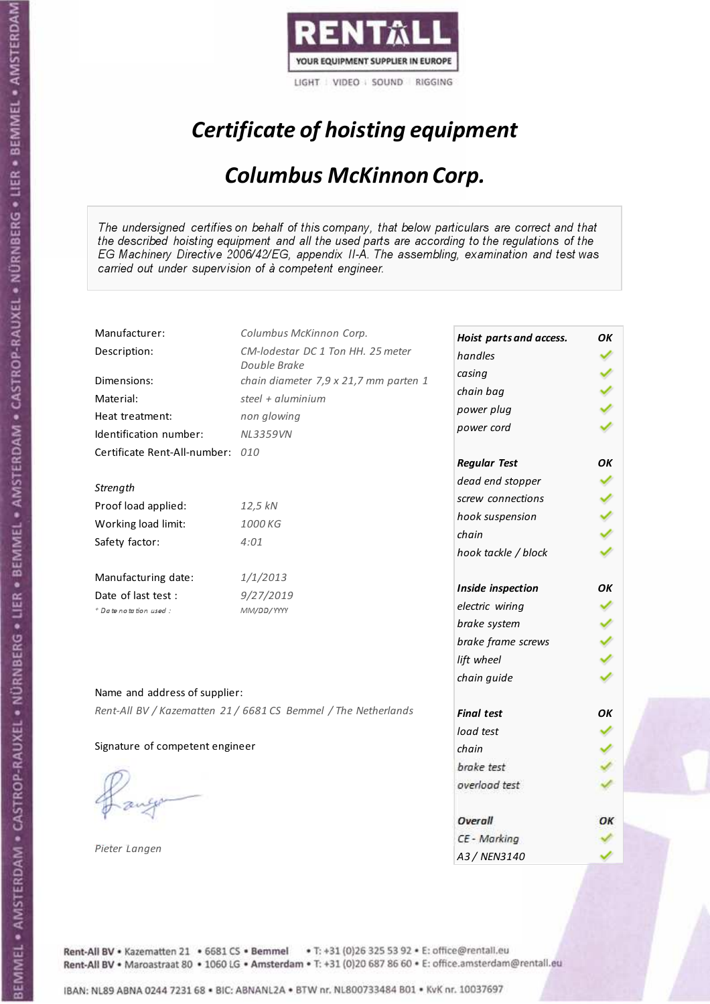

# Certificate of hoisting equipment

### Columbus McKinnon Corp.

The undersigned certifies on behalf of this company, that below particulars are correct and that the described hoisting equipment and all the used parts are according to the regulations of the EG Machinery Directive 2006/42/EG, appendix II-A. The assembling, examination and test was carried out under supervision of à competent engineer.

| Manufacturer:                    | Columbus McKinnon Corp.                                        | Hoist parts and access. | OК |
|----------------------------------|----------------------------------------------------------------|-------------------------|----|
| Description:                     | CM-lodestar DC 1 Ton HH. 25 meter                              | handles                 |    |
|                                  | Double Brake                                                   | casing                  |    |
| Dimensions:                      | chain diameter 7,9 x 21,7 mm parten 1                          | chain bag               |    |
| Material:                        | steel + aluminium                                              | power plug              |    |
| Heat treatment:                  | non glowing                                                    | power cord              |    |
| Identification number:           | <b>NL3359VN</b>                                                |                         |    |
| Certificate Rent-All-number: 010 |                                                                | <b>Regular Test</b>     | OK |
| Strength                         |                                                                | dead end stopper        |    |
|                                  |                                                                | screw connections       |    |
| Proof load applied:              | 12,5 kN                                                        | hook suspension         |    |
| Working load limit:              | 1000 KG                                                        | chain                   |    |
| Safety factor:                   | 4:01                                                           | hook tackle / block     |    |
| Manufacturing date:              | 1/1/2013                                                       |                         |    |
| Date of last test :              | 9/27/2019                                                      | Inside inspection       | ΟK |
| + Date notation used :           | MM/DD/YYYY                                                     | electric wiring         |    |
|                                  |                                                                | brake system            |    |
|                                  |                                                                | brake frame screws      |    |
|                                  |                                                                | lift wheel              |    |
| Name and address of supplier:    |                                                                | chain guide             |    |
|                                  | Rent-All BV / Kazematten 21 / 6681 CS Bemmel / The Netherlands | <b>Final test</b>       | OK |
|                                  |                                                                |                         |    |
| Signature of competent engineer  |                                                                | load test               |    |
|                                  |                                                                | chain                   |    |
|                                  |                                                                | brake test              |    |
|                                  |                                                                | overload test           |    |
|                                  |                                                                | Overall                 | ОК |
|                                  |                                                                | CE - Marking            |    |
| Pieter Langen                    |                                                                | A3 / NEN3140            |    |

Rent-All BV . Kazematten 21 . 6681 CS . Bemmel . T: +31 (0)26 325 53 92 . E: office@rentall.eu Rent-All BV · Maroastraat 80 · 1060 LG · Amsterdam · T: +31 (0)20 687 86 60 · E: office.amsterdam@rentall.eu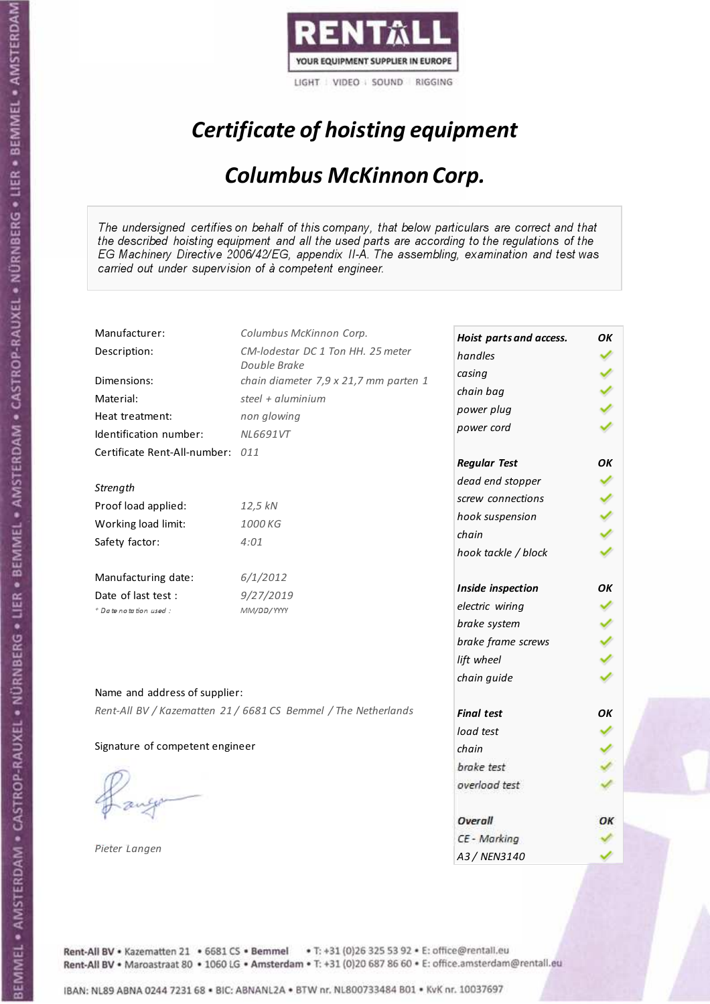

# Certificate of hoisting equipment

### Columbus McKinnon Corp.

The undersigned certifies on behalf of this company, that below particulars are correct and that the described hoisting equipment and all the used parts are according to the regulations of the EG Machinery Directive 2006/42/EG, appendix II-A. The assembling, examination and test was carried out under supervision of à competent engineer.

| Manufacturer:                    | Columbus McKinnon Corp.                                        | Hoist parts and access. | OК |
|----------------------------------|----------------------------------------------------------------|-------------------------|----|
| Description:                     | CM-lodestar DC 1 Ton HH. 25 meter                              | handles                 |    |
|                                  | Double Brake                                                   | casing                  |    |
| Dimensions:                      | chain diameter 7,9 x 21,7 mm parten 1                          | chain bag               |    |
| Material:                        | steel + aluminium                                              | power plug              |    |
| Heat treatment:                  | non glowing                                                    | power cord              |    |
| Identification number:           | NL6691VT                                                       |                         |    |
| Certificate Rent-All-number: 011 |                                                                | <b>Regular Test</b>     | OK |
| Strength                         |                                                                | dead end stopper        |    |
| Proof load applied:              | 12,5 kN                                                        | screw connections       |    |
|                                  | 1000 KG                                                        | hook suspension         |    |
| Working load limit:              |                                                                | chain                   |    |
| Safety factor:                   | 4:01                                                           | hook tackle / block     |    |
| Manufacturing date:              | 6/1/2012                                                       |                         |    |
| Date of last test :              | 9/27/2019                                                      | Inside inspection       | ΟK |
| + Date notation used :           | MM/DD/YYYY                                                     | electric wiring         |    |
|                                  |                                                                | brake system            |    |
|                                  |                                                                | brake frame screws      |    |
|                                  |                                                                | lift wheel              |    |
| Name and address of supplier:    |                                                                | chain guide             |    |
|                                  | Rent-All BV / Kazematten 21 / 6681 CS Bemmel / The Netherlands | <b>Final test</b>       | OK |
|                                  |                                                                | load test               |    |
| Signature of competent engineer  |                                                                | chain                   |    |
|                                  |                                                                | brake test              |    |
|                                  |                                                                | overload test           |    |
|                                  |                                                                | Overall                 | ОК |
|                                  |                                                                | CE - Marking            |    |
| Pieter Langen                    |                                                                | A3 / NEN3140            |    |

Rent-All BV . Kazematten 21 . 6681 CS . Bemmel . T: +31 (0)26 325 53 92 . E: office@rentall.eu Rent-All BV · Maroastraat 80 · 1060 LG · Amsterdam · T: +31 (0)20 687 86 60 · E: office.amsterdam@rentall.eu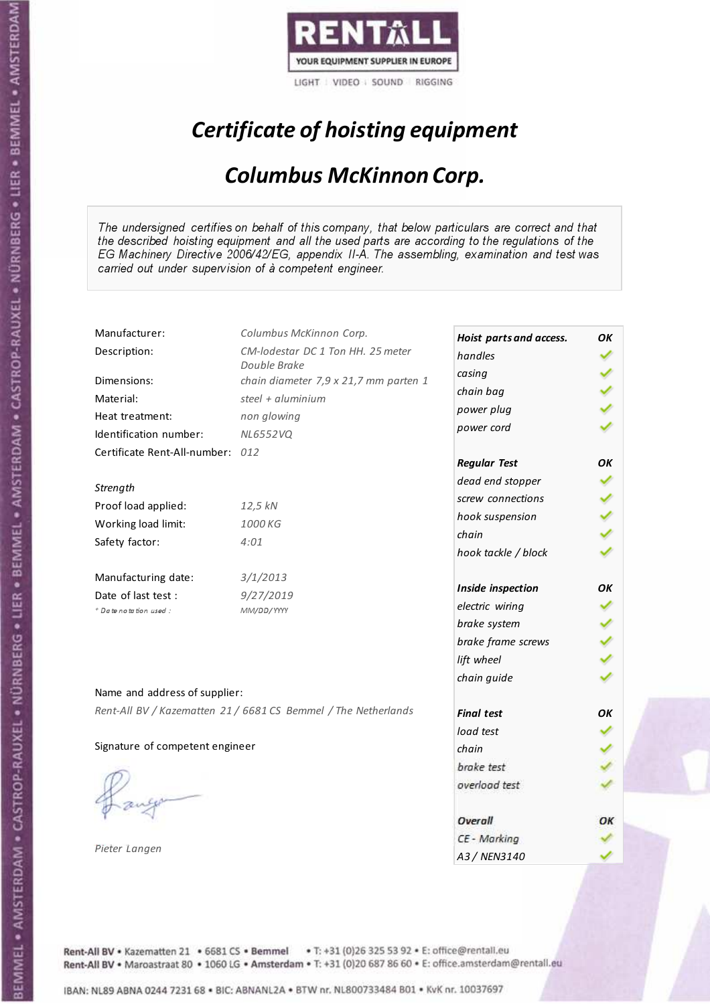

# Certificate of hoisting equipment

### Columbus McKinnon Corp.

The undersigned certifies on behalf of this company, that below particulars are correct and that the described hoisting equipment and all the used parts are according to the regulations of the EG Machinery Directive 2006/42/EG, appendix II-A. The assembling, examination and test was carried out under supervision of à competent engineer.

| Manufacturer:                    | Columbus McKinnon Corp.                                        | Hoist parts and access. | OК |
|----------------------------------|----------------------------------------------------------------|-------------------------|----|
| Description:                     | CM-lodestar DC 1 Ton HH. 25 meter                              | handles                 |    |
|                                  | Double Brake                                                   | casing                  |    |
| Dimensions:                      | chain diameter 7,9 x 21,7 mm parten 1                          | chain bag               |    |
| Material:                        | steel + $aluminim$                                             | power plug              |    |
| Heat treatment:                  | non glowing                                                    | power cord              |    |
| Identification number:           | <b>NL6552VQ</b>                                                |                         |    |
| Certificate Rent-All-number: 012 |                                                                | <b>Regular Test</b>     | OК |
| Strength                         |                                                                | dead end stopper        |    |
|                                  |                                                                | screw connections       |    |
| Proof load applied:              | 12,5 kN                                                        | hook suspension         |    |
| Working load limit:              | 1000 KG                                                        | chain                   |    |
| Safety factor:                   | 4:01                                                           | hook tackle / block     |    |
| Manufacturing date:              | 3/1/2013                                                       |                         |    |
| Date of last test :              | 9/27/2019                                                      | Inside inspection       | ΟK |
| + Date notation used :           | MM/DD/YYYY                                                     | electric wiring         |    |
|                                  |                                                                | brake system            |    |
|                                  |                                                                | brake frame screws      |    |
|                                  |                                                                | lift wheel              |    |
| Name and address of supplier:    |                                                                | chain guide             |    |
|                                  | Rent-All BV / Kazematten 21 / 6681 CS Bemmel / The Netherlands |                         |    |
|                                  |                                                                | <b>Final test</b>       | OK |
|                                  |                                                                | load test               |    |
| Signature of competent engineer  |                                                                | chain                   |    |
|                                  |                                                                | brake test              |    |
|                                  |                                                                | overload test           |    |
|                                  |                                                                | Overall                 | ОК |
|                                  |                                                                | CE - Marking            |    |
| Pieter Langen                    |                                                                | A3 / NEN3140            |    |

Rent-All BV . Kazematten 21 . 6681 CS . Bemmel . T: +31 (0)26 325 53 92 . E: office@rentall.eu Rent-All BV · Maroastraat 80 · 1060 LG · Amsterdam · T: +31 (0)20 687 86 60 · E: office.amsterdam@rentall.eu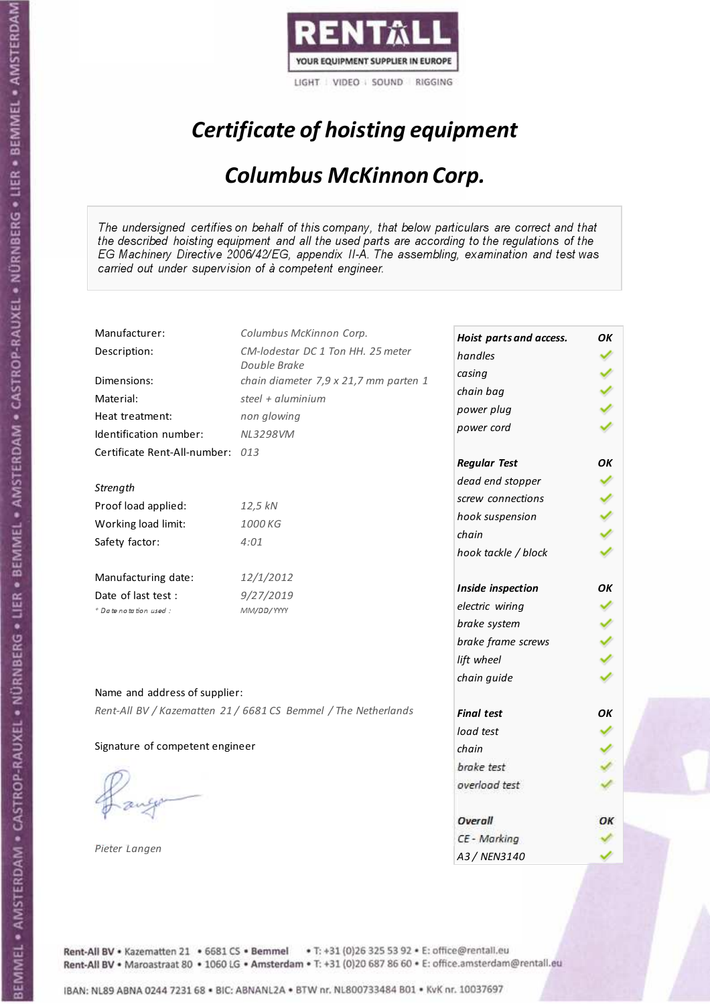

# Certificate of hoisting equipment

### Columbus McKinnon Corp.

The undersigned certifies on behalf of this company, that below particulars are correct and that the described hoisting equipment and all the used parts are according to the regulations of the EG Machinery Directive 2006/42/EG, appendix II-A. The assembling, examination and test was carried out under supervision of à competent engineer.

| Manufacturer:                    | Columbus McKinnon Corp.                                        | Hoist parts and access. | OK |
|----------------------------------|----------------------------------------------------------------|-------------------------|----|
| Description:                     | CM-lodestar DC 1 Ton HH. 25 meter                              | handles                 |    |
|                                  | Double Brake                                                   | casing                  |    |
| Dimensions:                      | chain diameter 7,9 x 21,7 mm parten 1                          | chain bag               |    |
| Material:                        | steel + $aluminim$                                             | power plug              |    |
| Heat treatment:                  | non glowing                                                    |                         |    |
| Identification number:           | <b>NL3298VM</b>                                                | power cord              |    |
| Certificate Rent-All-number: 013 |                                                                | <b>Regular Test</b>     | OΚ |
| Strength                         |                                                                | dead end stopper        |    |
| Proof load applied:              | 12,5 kN                                                        | screw connections       |    |
| Working load limit:              | 1000 KG                                                        | hook suspension         |    |
|                                  |                                                                | chain                   |    |
| Safety factor:                   | 4:01                                                           | hook tackle / block     |    |
| Manufacturing date:              | 12/1/2012                                                      |                         |    |
| Date of last test :              | 9/27/2019                                                      | Inside inspection       | OK |
| + Date notation used:            | MM/DD/YYYY                                                     | electric wiring         |    |
|                                  |                                                                | brake system            |    |
|                                  |                                                                | brake frame screws      |    |
|                                  |                                                                | lift wheel              |    |
|                                  |                                                                | chain guide             |    |
| Name and address of supplier:    |                                                                |                         |    |
|                                  | Rent-All BV / Kazematten 21 / 6681 CS Bemmel / The Netherlands | <b>Final test</b>       | OK |
|                                  |                                                                | load test               |    |
| Signature of competent engineer  |                                                                | chain                   |    |
|                                  |                                                                | brake test              |    |
|                                  |                                                                | overload test           |    |
|                                  |                                                                | Overall                 | ОК |
|                                  |                                                                | CE - Marking            |    |
| Pieter Langen                    |                                                                | A3 / NEN3140            |    |

Rent-All BV . Kazematten 21 . 6681 CS . Bemmel . T: +31 (0)26 325 53 92 . E: office@rentall.eu Rent-All BV · Maroastraat 80 · 1060 LG · Amsterdam · T: +31 (0)20 687 86 60 · E: office.amsterdam@rentall.eu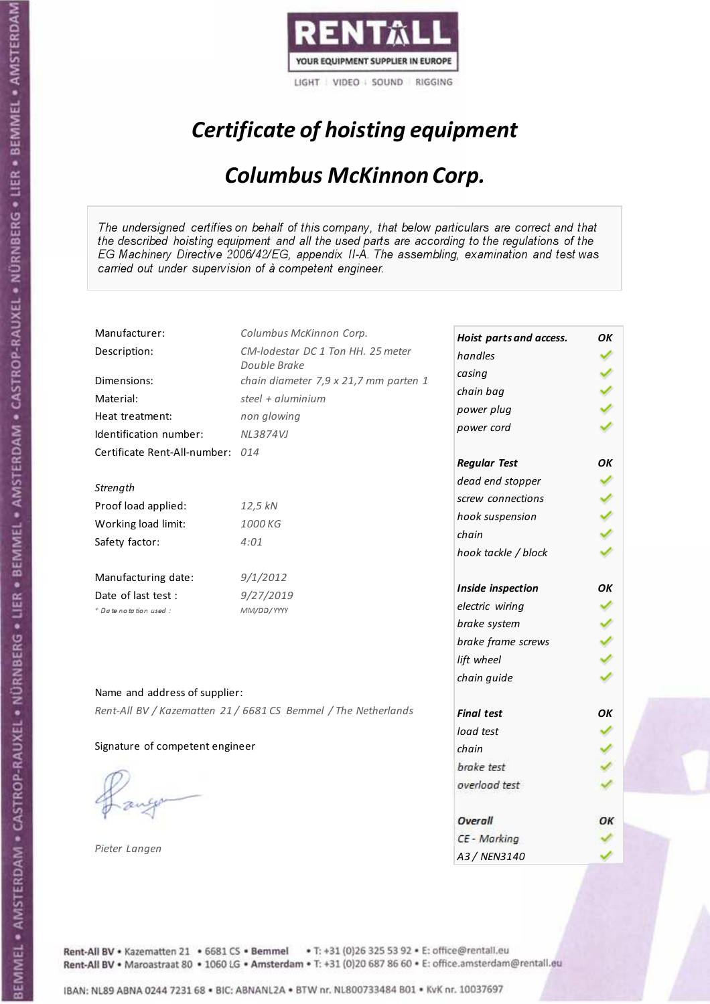

# Certificate of hoisting equipment

### Columbus McKinnon Corp.

The undersigned certifies on behalf of this company, that below particulars are correct and that the described hoisting equipment and all the used parts are according to the regulations of the EG Machinery Directive 2006/42/EG, appendix II-A. The assembling, examination and test was carried out under supervision of à competent engineer.

| Manufacturer:                    | Columbus McKinnon Corp.                                        | Hoist parts and access. | OК |
|----------------------------------|----------------------------------------------------------------|-------------------------|----|
| Description:                     | CM-lodestar DC 1 Ton HH. 25 meter                              | handles                 |    |
|                                  | Double Brake                                                   | casing                  |    |
| Dimensions:                      | chain diameter 7,9 x 21,7 mm parten 1                          | chain bag               |    |
| Material:                        | steel + aluminium                                              | power plug              |    |
| Heat treatment:                  | non glowing                                                    | power cord              |    |
| Identification number:           | <b>NL3874VJ</b>                                                |                         |    |
| Certificate Rent-All-number: 014 |                                                                | <b>Regular Test</b>     | OK |
| Strength                         |                                                                | dead end stopper        |    |
| Proof load applied:              | 12,5 kN                                                        | screw connections       |    |
|                                  | 1000 KG                                                        | hook suspension         |    |
| Working load limit:              |                                                                | chain                   |    |
| Safety factor:                   | 4:01                                                           | hook tackle / block     |    |
| Manufacturing date:              | 9/1/2012                                                       |                         |    |
| Date of last test :              | 9/27/2019                                                      | Inside inspection       | ΟK |
| + Date notation used :           | MM/DD/YYYY                                                     | electric wiring         |    |
|                                  |                                                                | brake system            |    |
|                                  |                                                                | brake frame screws      |    |
|                                  |                                                                | lift wheel              |    |
| Name and address of supplier:    |                                                                | chain guide             |    |
|                                  | Rent-All BV / Kazematten 21 / 6681 CS Bemmel / The Netherlands | <b>Final test</b>       | OK |
|                                  |                                                                | load test               |    |
| Signature of competent engineer  |                                                                | chain                   |    |
|                                  |                                                                | brake test              |    |
|                                  |                                                                |                         |    |
|                                  |                                                                | overload test           |    |
|                                  |                                                                | Overall                 | ОК |
|                                  |                                                                | CE - Marking            |    |
| Pieter Langen                    |                                                                | A3 / NEN3140            |    |

Rent-All BV . Kazematten 21 . 6681 CS . Bemmel . T: +31 (0)26 325 53 92 . E: office@rentall.eu Rent-All BV · Maroastraat 80 · 1060 LG · Amsterdam · T: +31 (0)20 687 86 60 · E: office.amsterdam@rentall.eu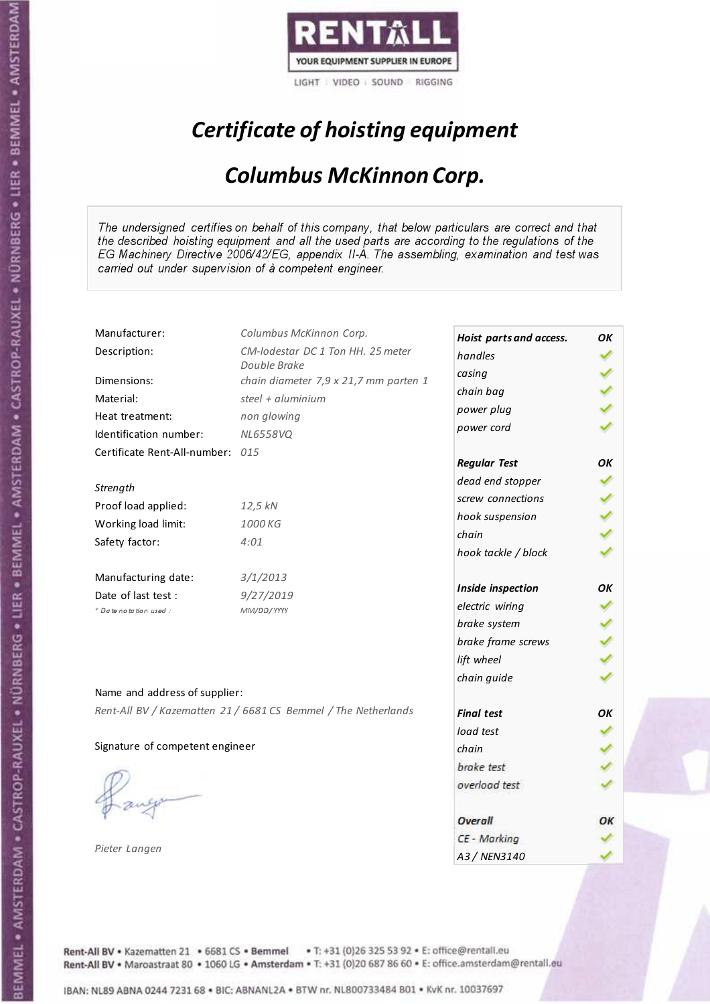

# Certificate of hoisting equipment

### Columbus McKinnon Corp.

The undersigned certifies on behalf of this company, that below particulars are correct and that the described hoisting equipment and all the used parts are according to the regulations of the EG Machinery Directive 2006/42/EG, appendix II-A. The assembling, examination and test was carried out under supervision of à competent engineer.

| Manufacturer:                    | Columbus McKinnon Corp.                                        | Hoist parts and access. | OК |
|----------------------------------|----------------------------------------------------------------|-------------------------|----|
| Description:                     | CM-lodestar DC 1 Ton HH. 25 meter                              | handles                 |    |
|                                  | Double Brake                                                   | casing                  |    |
| Dimensions:                      | chain diameter 7,9 x 21,7 mm parten 1                          | chain bag               |    |
| Material:                        | steel + $aluminim$                                             | power plug              |    |
| Heat treatment:                  | non glowing                                                    | power cord              |    |
| Identification number:           | <b>NL6558VQ</b>                                                |                         |    |
| Certificate Rent-All-number: 015 |                                                                | <b>Regular Test</b>     | OК |
| Strength                         |                                                                | dead end stopper        |    |
|                                  |                                                                | screw connections       |    |
| Proof load applied:              | 12,5 kN                                                        | hook suspension         |    |
| Working load limit:              | 1000 KG                                                        | chain                   |    |
| Safety factor:                   | 4:01                                                           | hook tackle / block     |    |
| Manufacturing date:              | 3/1/2013                                                       |                         |    |
| Date of last test :              | 9/27/2019                                                      | Inside inspection       | ΟK |
| + Date notation used :           | MM/DD/YYYY                                                     | electric wiring         |    |
|                                  |                                                                | brake system            |    |
|                                  |                                                                | brake frame screws      |    |
|                                  |                                                                | lift wheel              |    |
|                                  |                                                                | chain guide             |    |
| Name and address of supplier:    |                                                                |                         |    |
|                                  | Rent-All BV / Kazematten 21 / 6681 CS Bemmel / The Netherlands | <b>Final test</b>       | OK |
|                                  |                                                                | load test               |    |
| Signature of competent engineer  |                                                                | chain                   |    |
|                                  |                                                                | brake test              |    |
|                                  |                                                                | overload test           |    |
|                                  |                                                                | Overall                 | ОК |
|                                  |                                                                | CE - Marking            |    |
| Pieter Langen                    |                                                                | A3 / NEN3140            |    |

Rent-All BV . Kazematten 21 . 6681 CS . Bemmel . T: +31 (0)26 325 53 92 . E: office@rentall.eu Rent-All BV · Maroastraat 80 · 1060 LG · Amsterdam · T: +31 (0)20 687 86 60 · E: office.amsterdam@rentall.eu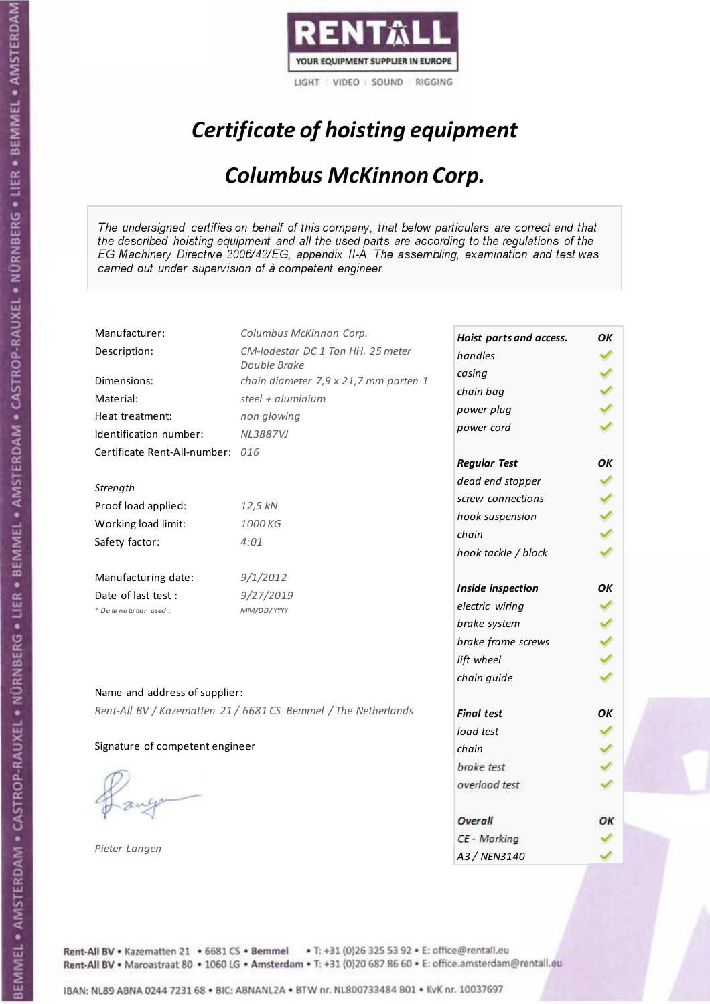

# Certificate of hoisting equipment

### Columbus McKinnon Corp.

The undersigned certifies on behalf of this company, that below particulars are correct and that the described hoisting equipment and all the used parts are according to the regulations of the EG Machinery Directive 2006/42/EG, appendix II-A. The assembling, examination and test was carried out under supervision of à competent engineer.

| Manufacturer:                    | Columbus McKinnon Corp.                                        | Hoist parts and access. | OК |
|----------------------------------|----------------------------------------------------------------|-------------------------|----|
| Description:                     | CM-lodestar DC 1 Ton HH. 25 meter                              | handles                 |    |
|                                  | Double Brake                                                   | casing                  |    |
| Dimensions:                      | chain diameter 7,9 x 21,7 mm parten 1                          | chain bag               |    |
| Material:                        | steel + aluminium                                              | power plug              |    |
| Heat treatment:                  | non glowing                                                    | power cord              |    |
| Identification number:           | <b>NL3887VJ</b>                                                |                         |    |
| Certificate Rent-All-number: 016 |                                                                | <b>Regular Test</b>     | OK |
| Strength                         |                                                                | dead end stopper        |    |
|                                  |                                                                | screw connections       |    |
| Proof load applied:              | 12,5 kN                                                        | hook suspension         |    |
| Working load limit:              | 1000 KG                                                        | chain                   |    |
| Safety factor:                   | 4:01                                                           | hook tackle / block     |    |
| Manufacturing date:              | 9/1/2012                                                       |                         |    |
| Date of last test :              | 9/27/2019                                                      | Inside inspection       | ΟK |
| + Date notation used :           | MM/DD/YYYY                                                     | electric wiring         |    |
|                                  |                                                                | brake system            |    |
|                                  |                                                                | brake frame screws      |    |
|                                  |                                                                | lift wheel              |    |
| Name and address of supplier:    |                                                                | chain guide             |    |
|                                  | Rent-All BV / Kazematten 21 / 6681 CS Bemmel / The Netherlands |                         |    |
|                                  |                                                                | <b>Final test</b>       | OK |
|                                  |                                                                | load test               |    |
| Signature of competent engineer  |                                                                | chain                   |    |
|                                  |                                                                | brake test              |    |
|                                  |                                                                | overload test           |    |
|                                  |                                                                | Overall                 | ОК |
|                                  |                                                                | CE - Marking            |    |
| Pieter Langen                    |                                                                | A3 / NEN3140            |    |

Rent-All BV . Kazematten 21 . 6681 CS . Bemmel . T: +31 (0)26 325 53 92 . E: office@rentall.eu Rent-All BV · Maroastraat 80 · 1060 LG · Amsterdam · T: +31 (0)20 687 86 60 · E: office.amsterdam@rentall.eu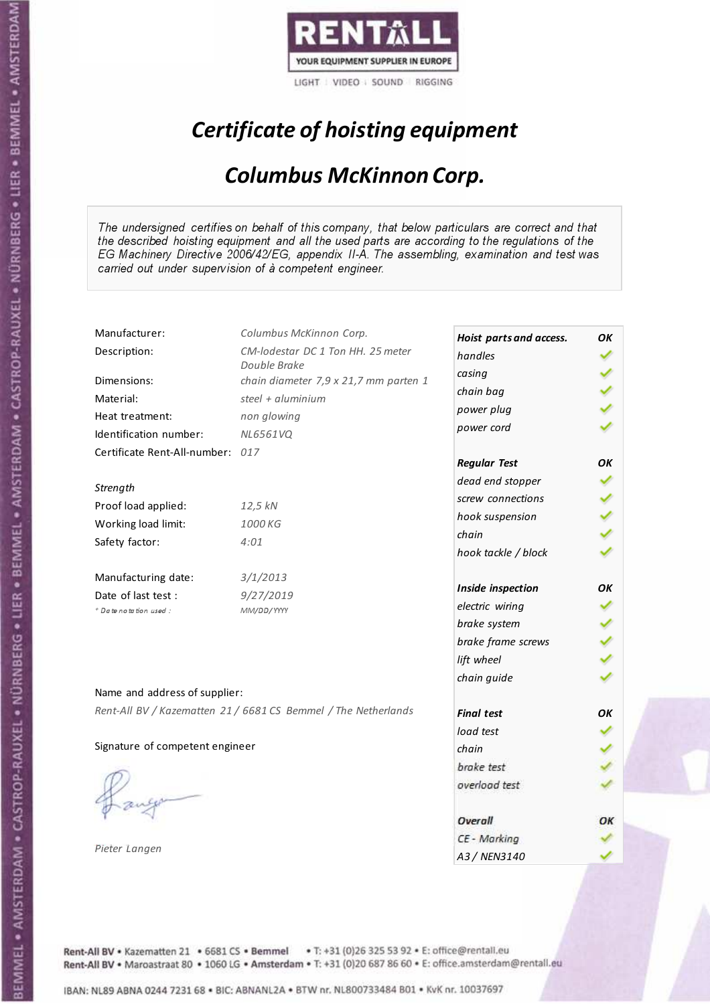

# Certificate of hoisting equipment

### Columbus McKinnon Corp.

The undersigned certifies on behalf of this company, that below particulars are correct and that the described hoisting equipment and all the used parts are according to the regulations of the EG Machinery Directive 2006/42/EG, appendix II-A. The assembling, examination and test was carried out under supervision of à competent engineer.

| Manufacturer:                    | Columbus McKinnon Corp.                                        | Hoist parts and access. | OК |
|----------------------------------|----------------------------------------------------------------|-------------------------|----|
| Description:                     | CM-lodestar DC 1 Ton HH. 25 meter                              | handles                 |    |
|                                  | Double Brake                                                   | casing                  |    |
| Dimensions:                      | chain diameter 7,9 x 21,7 mm parten 1                          | chain bag               |    |
| Material:                        | steel + $aluminim$                                             | power plug              |    |
| Heat treatment:                  | non glowing                                                    | power cord              |    |
| Identification number:           | <b>NL6561VQ</b>                                                |                         |    |
| Certificate Rent-All-number: 017 |                                                                | <b>Regular Test</b>     | OК |
| Strength                         |                                                                | dead end stopper        |    |
|                                  |                                                                | screw connections       |    |
| Proof load applied:              | 12,5 kN                                                        | hook suspension         |    |
| Working load limit:              | 1000 KG                                                        | chain                   |    |
| Safety factor:                   | 4:01                                                           | hook tackle / block     |    |
| Manufacturing date:              | 3/1/2013                                                       |                         |    |
| Date of last test :              | 9/27/2019                                                      | Inside inspection       | ΟK |
| + Date notation used :           | MM/DD/YYYY                                                     | electric wiring         |    |
|                                  |                                                                | brake system            |    |
|                                  |                                                                | brake frame screws      |    |
|                                  |                                                                | lift wheel              |    |
|                                  |                                                                | chain guide             |    |
| Name and address of supplier:    |                                                                |                         |    |
|                                  | Rent-All BV / Kazematten 21 / 6681 CS Bemmel / The Netherlands | <b>Final test</b>       | OK |
|                                  |                                                                | load test               |    |
| Signature of competent engineer  |                                                                | chain                   |    |
|                                  |                                                                | brake test              |    |
|                                  |                                                                | overload test           |    |
|                                  |                                                                | Overall                 | ОК |
|                                  |                                                                | CE - Marking            |    |
| Pieter Langen                    |                                                                | A3 / NEN3140            |    |

Rent-All BV . Kazematten 21 . 6681 CS . Bemmel . T: +31 (0)26 325 53 92 . E: office@rentall.eu Rent-All BV · Maroastraat 80 · 1060 LG · Amsterdam · T: +31 (0)20 687 86 60 · E: office.amsterdam@rentall.eu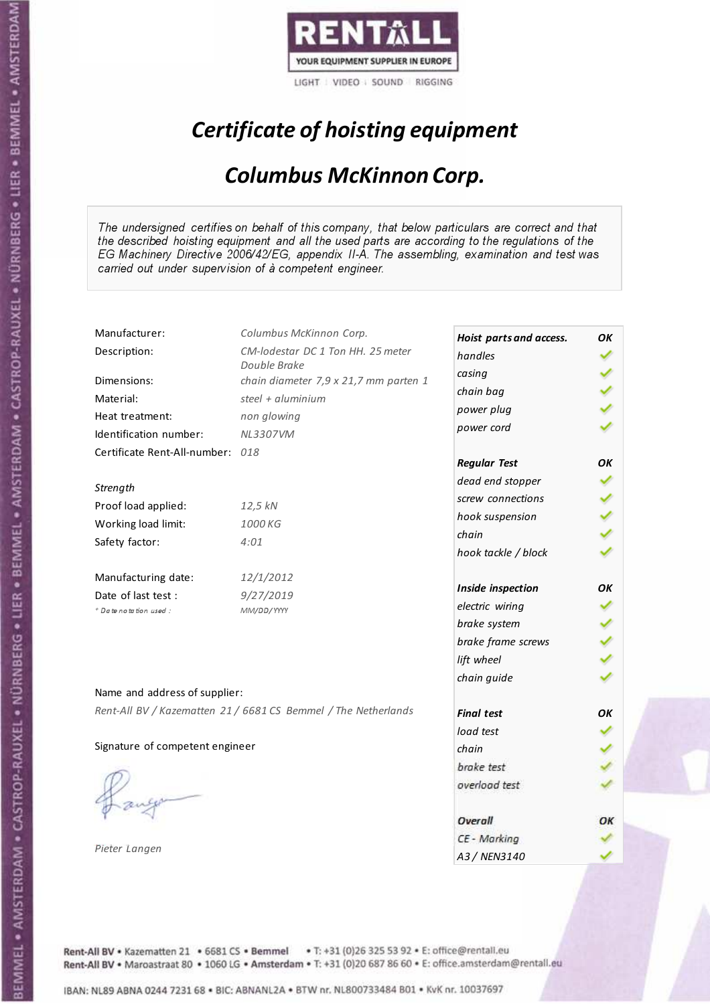

# Certificate of hoisting equipment

### Columbus McKinnon Corp.

The undersigned certifies on behalf of this company, that below particulars are correct and that the described hoisting equipment and all the used parts are according to the regulations of the EG Machinery Directive 2006/42/EG, appendix II-A. The assembling, examination and test was carried out under supervision of à competent engineer.

| Manufacturer:                    | Columbus McKinnon Corp.                                        | Hoist parts and access. | OK |
|----------------------------------|----------------------------------------------------------------|-------------------------|----|
| Description:                     | CM-lodestar DC 1 Ton HH. 25 meter                              | handles                 |    |
|                                  | Double Brake                                                   | casing                  |    |
| Dimensions:                      | chain diameter 7,9 x 21,7 mm parten 1                          | chain bag               |    |
| Material:                        | steel + aluminium                                              | power plug              |    |
| Heat treatment:                  | non glowing                                                    | power cord              |    |
| Identification number:           | <b>NL3307VM</b>                                                |                         |    |
| Certificate Rent-All-number: 018 |                                                                | <b>Regular Test</b>     | OK |
| Strength                         |                                                                | dead end stopper        |    |
| Proof load applied:              |                                                                | screw connections       |    |
|                                  | 12,5 kN                                                        | hook suspension         |    |
| Working load limit:              | 1000 KG                                                        | chain                   |    |
| Safety factor:                   | 4:01                                                           | hook tackle / block     |    |
| Manufacturing date:              | 12/1/2012                                                      |                         |    |
| Date of last test :              | 9/27/2019                                                      | Inside inspection       | OK |
| + Date notation used :           | MM/DD/YYYY                                                     | electric wiring         |    |
|                                  |                                                                | brake system            |    |
|                                  |                                                                | brake frame screws      |    |
|                                  |                                                                | lift wheel              |    |
|                                  |                                                                | chain guide             |    |
| Name and address of supplier:    |                                                                |                         |    |
|                                  | Rent-All BV / Kazematten 21 / 6681 CS Bemmel / The Netherlands | <b>Final test</b>       | OK |
|                                  |                                                                | load test               |    |
| Signature of competent engineer  |                                                                | chain                   |    |
|                                  |                                                                | brake test              |    |
|                                  |                                                                | overload test           |    |
|                                  |                                                                | Overall                 | ОК |
|                                  |                                                                | CE - Marking            |    |
| Pieter Langen                    |                                                                | A3 / NEN3140            |    |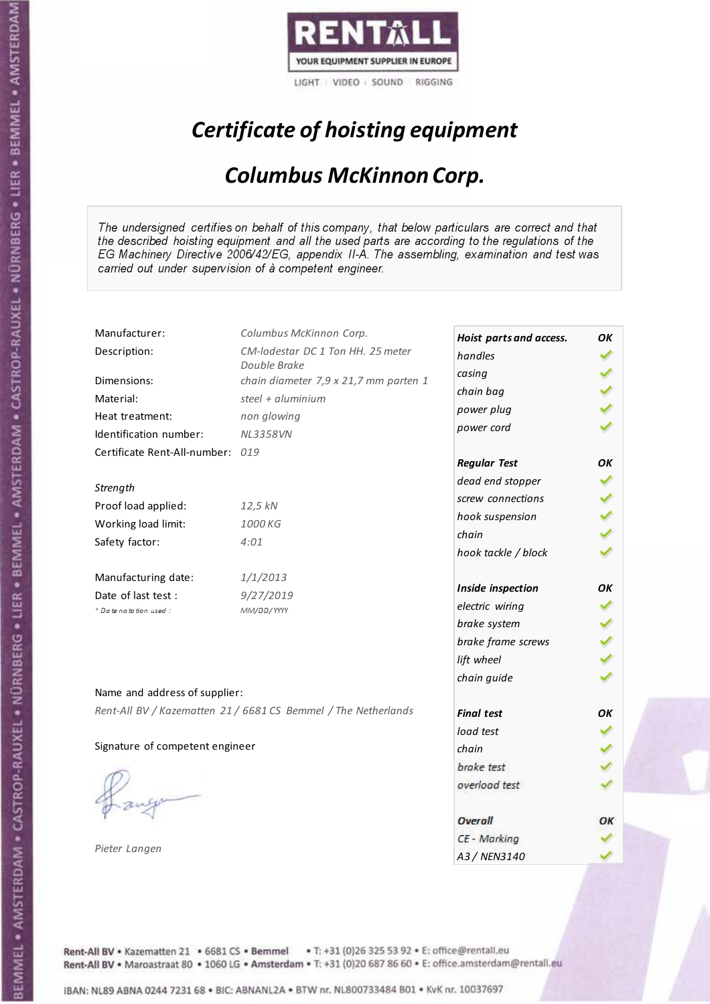

# Certificate of hoisting equipment

### Columbus McKinnon Corp.

The undersigned certifies on behalf of this company, that below particulars are correct and that the described hoisting equipment and all the used parts are according to the regulations of the EG Machinery Directive 2006/42/EG, appendix II-A. The assembling, examination and test was carried out under supervision of à competent engineer.

| Manufacturer:                    | Columbus McKinnon Corp.                                        | Hoist parts and access. | OК |
|----------------------------------|----------------------------------------------------------------|-------------------------|----|
| Description:                     | CM-lodestar DC 1 Ton HH. 25 meter                              | handles                 |    |
|                                  | Double Brake                                                   | casing                  |    |
| Dimensions:                      | chain diameter 7,9 x 21,7 mm parten 1                          | chain bag               |    |
| Material:                        | steel + aluminium                                              | power plug              |    |
| Heat treatment:                  | non glowing                                                    | power cord              |    |
| Identification number:           | <b>NL3358VN</b>                                                |                         |    |
| Certificate Rent-All-number: 019 |                                                                | <b>Regular Test</b>     | OK |
| Strength                         |                                                                | dead end stopper        |    |
|                                  |                                                                | screw connections       |    |
| Proof load applied:              | 12,5 kN                                                        | hook suspension         |    |
| Working load limit:              | 1000 KG                                                        | chain                   |    |
| Safety factor:                   | 4:01                                                           | hook tackle / block     |    |
| Manufacturing date:              | 1/1/2013                                                       |                         |    |
| Date of last test :              | 9/27/2019                                                      | Inside inspection       | ΟK |
| + Date notation used :           | MM/DD/YYYY                                                     | electric wiring         |    |
|                                  |                                                                | brake system            |    |
|                                  |                                                                | brake frame screws      |    |
|                                  |                                                                | lift wheel              |    |
| Name and address of supplier:    |                                                                | chain guide             |    |
|                                  | Rent-All BV / Kazematten 21 / 6681 CS Bemmel / The Netherlands |                         |    |
|                                  |                                                                | <b>Final test</b>       | OK |
|                                  |                                                                | load test               |    |
| Signature of competent engineer  |                                                                | chain                   |    |
|                                  |                                                                | brake test              |    |
|                                  |                                                                | overload test           |    |
|                                  |                                                                | Overall                 | ОК |
|                                  |                                                                | CE - Marking            |    |
| Pieter Langen                    |                                                                | A3 / NEN3140            |    |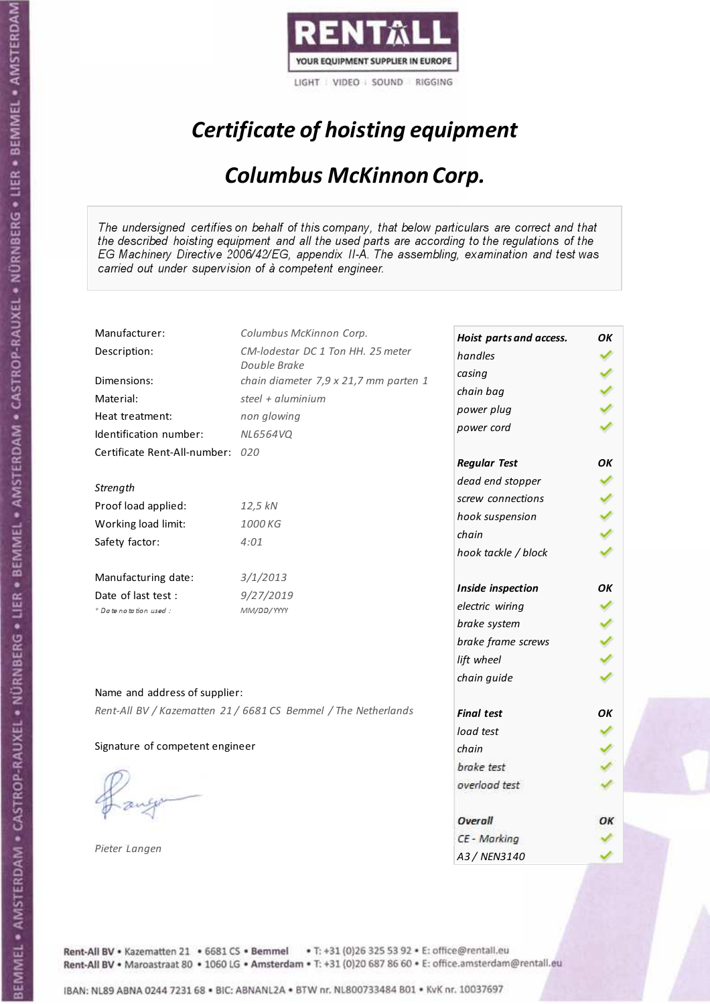

# Certificate of hoisting equipment

### Columbus McKinnon Corp.

The undersigned certifies on behalf of this company, that below particulars are correct and that the described hoisting equipment and all the used parts are according to the regulations of the EG Machinery Directive 2006/42/EG, appendix II-A. The assembling, examination and test was carried out under supervision of à competent engineer.

| Manufacturer:                    | Columbus McKinnon Corp.                                        | Hoist parts and access. | OК |
|----------------------------------|----------------------------------------------------------------|-------------------------|----|
| Description:                     | CM-lodestar DC 1 Ton HH. 25 meter                              | handles                 |    |
|                                  | Double Brake                                                   | casing                  |    |
| Dimensions:                      | chain diameter 7,9 x 21,7 mm parten 1                          | chain bag               |    |
| Material:                        | steel + aluminium                                              | power plug              |    |
| Heat treatment:                  | non glowing                                                    | power cord              |    |
| Identification number:           | NL6564VQ                                                       |                         |    |
| Certificate Rent-All-number: 020 |                                                                | <b>Regular Test</b>     | OK |
| Strength                         |                                                                | dead end stopper        |    |
| Proof load applied:              | 12,5 kN                                                        | screw connections       |    |
|                                  | 1000 KG                                                        | hook suspension         |    |
| Working load limit:              |                                                                | chain                   |    |
| Safety factor:                   | 4:01                                                           | hook tackle / block     |    |
| Manufacturing date:              | 3/1/2013                                                       |                         |    |
| Date of last test :              | 9/27/2019                                                      | Inside inspection       | ΟK |
| + Date notation used :           | MM/DD/YYYY                                                     | electric wiring         |    |
|                                  |                                                                | brake system            |    |
|                                  |                                                                | brake frame screws      |    |
|                                  |                                                                | lift wheel              |    |
| Name and address of supplier:    |                                                                | chain guide             |    |
|                                  | Rent-All BV / Kazematten 21 / 6681 CS Bemmel / The Netherlands | <b>Final test</b>       | OK |
|                                  |                                                                | load test               |    |
| Signature of competent engineer  |                                                                | chain                   |    |
|                                  |                                                                | brake test              |    |
|                                  |                                                                |                         |    |
|                                  |                                                                | overload test           |    |
|                                  |                                                                | Overall                 | ОК |
|                                  |                                                                | CE - Marking            |    |
| Pieter Langen                    |                                                                | A3 / NEN3140            |    |

Rent-All BV . Kazematten 21 . 6681 CS . Bemmel . T: +31 (0)26 325 53 92 . E: office@rentall.eu Rent-All BV · Maroastraat 80 · 1060 LG · Amsterdam · T: +31 (0)20 687 86 60 · E: office.amsterdam@rentall.eu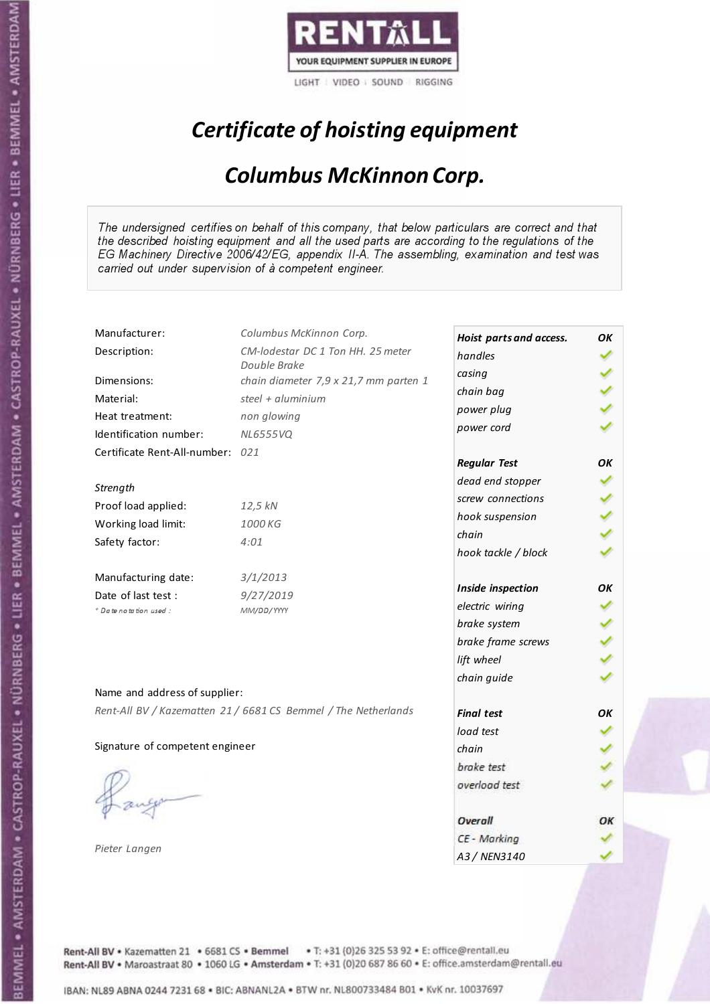

# Certificate of hoisting equipment

### Columbus McKinnon Corp.

The undersigned certifies on behalf of this company, that below particulars are correct and that the described hoisting equipment and all the used parts are according to the regulations of the EG Machinery Directive 2006/42/EG, appendix II-A. The assembling, examination and test was carried out under supervision of à competent engineer.

| Manufacturer:                    | Columbus McKinnon Corp.                                        | Hoist parts and access. | OК |
|----------------------------------|----------------------------------------------------------------|-------------------------|----|
| Description:                     | CM-lodestar DC 1 Ton HH. 25 meter                              | handles                 |    |
|                                  | Double Brake                                                   | casing                  |    |
| Dimensions:                      | chain diameter 7,9 x 21,7 mm parten 1                          | chain bag               |    |
| Material:                        | steel + $aluminim$                                             | power plug              |    |
| Heat treatment:                  | non glowing                                                    | power cord              |    |
| Identification number:           | <b>NL6555VQ</b>                                                |                         |    |
| Certificate Rent-All-number: 021 |                                                                | <b>Regular Test</b>     | OК |
| Strength                         |                                                                | dead end stopper        |    |
|                                  |                                                                | screw connections       |    |
| Proof load applied:              | 12,5 kN                                                        | hook suspension         |    |
| Working load limit:              | 1000 KG                                                        | chain                   |    |
| Safety factor:                   | 4:01                                                           | hook tackle / block     |    |
| Manufacturing date:              | 3/1/2013                                                       |                         |    |
| Date of last test :              | 9/27/2019                                                      | Inside inspection       | ΟK |
| + Date notation used :           | MM/DD/YYYY                                                     | electric wiring         |    |
|                                  |                                                                | brake system            |    |
|                                  |                                                                | brake frame screws      |    |
|                                  |                                                                | lift wheel              |    |
| Name and address of supplier:    |                                                                | chain guide             |    |
|                                  | Rent-All BV / Kazematten 21 / 6681 CS Bemmel / The Netherlands |                         |    |
|                                  |                                                                | <b>Final test</b>       | OK |
| Signature of competent engineer  |                                                                | load test               |    |
|                                  |                                                                | chain                   |    |
|                                  |                                                                | brake test              |    |
|                                  |                                                                | overload test           |    |
|                                  |                                                                | Overall                 | ОК |
|                                  |                                                                | CE - Marking            |    |
| Pieter Langen                    |                                                                | A3 / NEN3140            |    |

Rent-All BV . Kazematten 21 . 6681 CS . Bemmel . T: +31 (0)26 325 53 92 . E: office@rentall.eu Rent-All BV · Maroastraat 80 · 1060 LG · Amsterdam · T: +31 (0)20 687 86 60 · E: office.amsterdam@rentall.eu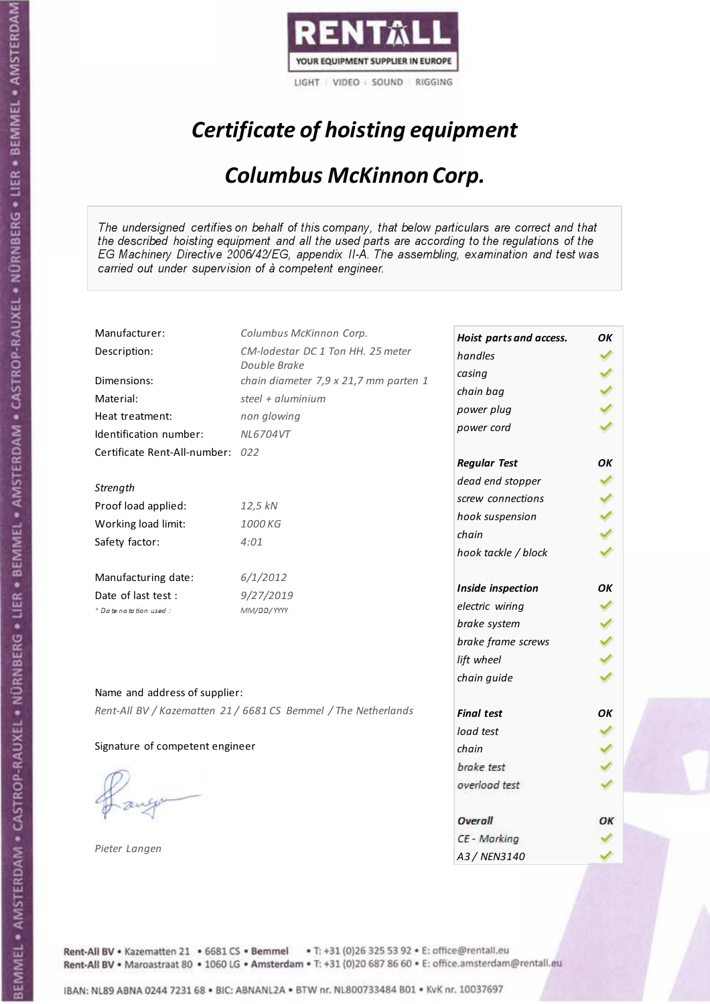

# Certificate of hoisting equipment

### Columbus McKinnon Corp.

The undersigned certifies on behalf of this company, that below particulars are correct and that the described hoisting equipment and all the used parts are according to the regulations of the EG Machinery Directive 2006/42/EG, appendix II-A. The assembling, examination and test was carried out under supervision of à competent engineer.

| Manufacturer:                    | Columbus McKinnon Corp.                                        | Hoist parts and access. | OК |
|----------------------------------|----------------------------------------------------------------|-------------------------|----|
| Description:                     | CM-lodestar DC 1 Ton HH. 25 meter                              | handles                 |    |
|                                  | Double Brake                                                   | casing                  |    |
| Dimensions:                      | chain diameter 7,9 x 21,7 mm parten 1                          | chain bag               |    |
| Material:                        | steel + aluminium                                              | power plug              |    |
| Heat treatment:                  | non glowing                                                    | power cord              |    |
| Identification number:           | NL6704VT                                                       |                         |    |
| Certificate Rent-All-number: 022 |                                                                | <b>Regular Test</b>     | OK |
| Strength                         |                                                                | dead end stopper        |    |
| Proof load applied:              | 12,5 kN                                                        | screw connections       |    |
|                                  | 1000 KG                                                        | hook suspension         |    |
| Working load limit:              |                                                                | chain                   |    |
| Safety factor:                   | 4:01                                                           | hook tackle / block     |    |
| Manufacturing date:              | 6/1/2012                                                       |                         |    |
| Date of last test :              | 9/27/2019                                                      | Inside inspection       | ΟK |
| + Date notation used :           | MM/DD/YYYY                                                     | electric wiring         |    |
|                                  |                                                                | brake system            |    |
|                                  |                                                                | brake frame screws      |    |
|                                  |                                                                | lift wheel              |    |
| Name and address of supplier:    |                                                                | chain guide             |    |
|                                  | Rent-All BV / Kazematten 21 / 6681 CS Bemmel / The Netherlands | <b>Final test</b>       | OK |
|                                  |                                                                | load test               |    |
| Signature of competent engineer  |                                                                | chain                   |    |
|                                  |                                                                | brake test              |    |
|                                  |                                                                |                         |    |
|                                  |                                                                | overload test           |    |
|                                  |                                                                | Overall                 | ОК |
|                                  |                                                                | CE - Marking            |    |
| Pieter Langen                    |                                                                | A3 / NEN3140            |    |

Rent-All BV . Kazematten 21 . 6681 CS . Bemmel . T: +31 (0)26 325 53 92 . E: office@rentall.eu Rent-All BV · Maroastraat 80 · 1060 LG · Amsterdam · T: +31 (0)20 687 86 60 · E: office.amsterdam@rentall.eu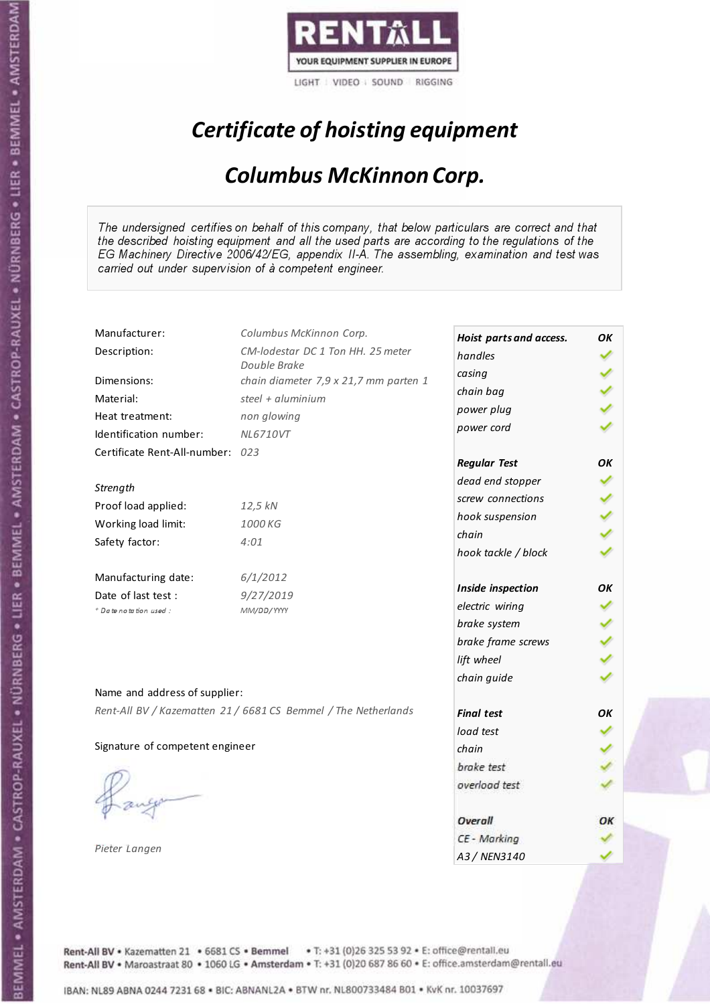

# Certificate of hoisting equipment

### Columbus McKinnon Corp.

The undersigned certifies on behalf of this company, that below particulars are correct and that the described hoisting equipment and all the used parts are according to the regulations of the EG Machinery Directive 2006/42/EG, appendix II-A. The assembling, examination and test was carried out under supervision of à competent engineer.

| Manufacturer:                    | Columbus McKinnon Corp.                                        | Hoist parts and access. | OК |
|----------------------------------|----------------------------------------------------------------|-------------------------|----|
| Description:                     | CM-lodestar DC 1 Ton HH. 25 meter                              | handles                 |    |
|                                  | Double Brake                                                   | casing                  |    |
| Dimensions:                      | chain diameter 7,9 x 21,7 mm parten 1                          | chain bag               |    |
| Material:                        | steel + aluminium                                              | power plug              |    |
| Heat treatment:                  | non glowing                                                    | power cord              |    |
| Identification number:           | <b>NL6710VT</b>                                                |                         |    |
| Certificate Rent-All-number: 023 |                                                                | <b>Regular Test</b>     | OK |
| Strength                         |                                                                | dead end stopper        |    |
| Proof load applied:              | 12,5 kN                                                        | screw connections       |    |
|                                  | 1000 KG                                                        | hook suspension         |    |
| Working load limit:              |                                                                | chain                   |    |
| Safety factor:                   | 4:01                                                           | hook tackle / block     |    |
| Manufacturing date:              | 6/1/2012                                                       |                         |    |
| Date of last test :              | 9/27/2019                                                      | Inside inspection       | ΟK |
| + Date notation used :           | MM/DD/YYYY                                                     | electric wiring         |    |
|                                  |                                                                | brake system            |    |
|                                  |                                                                | brake frame screws      |    |
|                                  |                                                                | lift wheel              |    |
| Name and address of supplier:    |                                                                | chain guide             |    |
|                                  | Rent-All BV / Kazematten 21 / 6681 CS Bemmel / The Netherlands | <b>Final test</b>       | OK |
|                                  |                                                                | load test               |    |
| Signature of competent engineer  |                                                                | chain                   |    |
|                                  |                                                                | brake test              |    |
|                                  |                                                                |                         |    |
|                                  |                                                                | overload test           |    |
|                                  |                                                                | Overall                 | ОК |
|                                  |                                                                | CE - Marking            |    |
| Pieter Langen                    |                                                                | A3 / NEN3140            |    |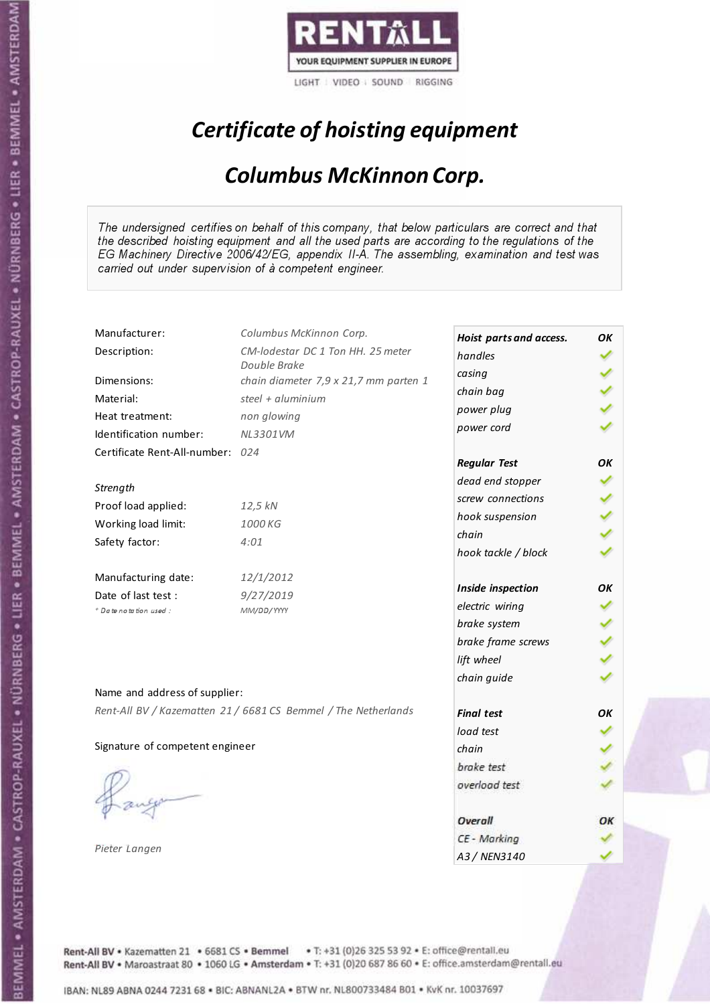

# Certificate of hoisting equipment

### Columbus McKinnon Corp.

The undersigned certifies on behalf of this company, that below particulars are correct and that the described hoisting equipment and all the used parts are according to the regulations of the EG Machinery Directive 2006/42/EG, appendix II-A. The assembling, examination and test was carried out under supervision of à competent engineer.

| Manufacturer:                    | Columbus McKinnon Corp.                                        | Hoist parts and access. | OK |
|----------------------------------|----------------------------------------------------------------|-------------------------|----|
| Description:                     | CM-lodestar DC 1 Ton HH. 25 meter                              | handles                 |    |
|                                  | Double Brake                                                   | casing                  |    |
| Dimensions:                      | chain diameter 7,9 x 21,7 mm parten 1                          | chain bag               |    |
| Material:                        | steel + aluminium                                              | power plug              |    |
| Heat treatment:                  | non glowing                                                    | power cord              |    |
| Identification number:           | NL3301VM                                                       |                         |    |
| Certificate Rent-All-number: 024 |                                                                | <b>Regular Test</b>     | OK |
| Strength                         |                                                                | dead end stopper        |    |
|                                  |                                                                | screw connections       |    |
| Proof load applied:              | 12,5 kN                                                        | hook suspension         |    |
| Working load limit:              | 1000 KG                                                        | chain                   |    |
| Safety factor:                   | 4:01                                                           | hook tackle / block     |    |
| Manufacturing date:              | 12/1/2012                                                      |                         |    |
| Date of last test :              | 9/27/2019                                                      | Inside inspection       | OK |
| + Date notation used :           | MM/DD/YYYY                                                     | electric wiring         |    |
|                                  |                                                                | brake system            |    |
|                                  |                                                                | brake frame screws      |    |
|                                  |                                                                | lift wheel              |    |
|                                  |                                                                | chain guide             |    |
| Name and address of supplier:    |                                                                |                         |    |
|                                  | Rent-All BV / Kazematten 21 / 6681 CS Bemmel / The Netherlands | <b>Final test</b>       | OK |
|                                  |                                                                | load test               |    |
| Signature of competent engineer  |                                                                | chain                   |    |
|                                  |                                                                | brake test              |    |
|                                  |                                                                | overload test           |    |
|                                  |                                                                | Overall                 | ОК |
|                                  |                                                                | CE - Marking            |    |
| Pieter Langen                    |                                                                | A3 / NEN3140            |    |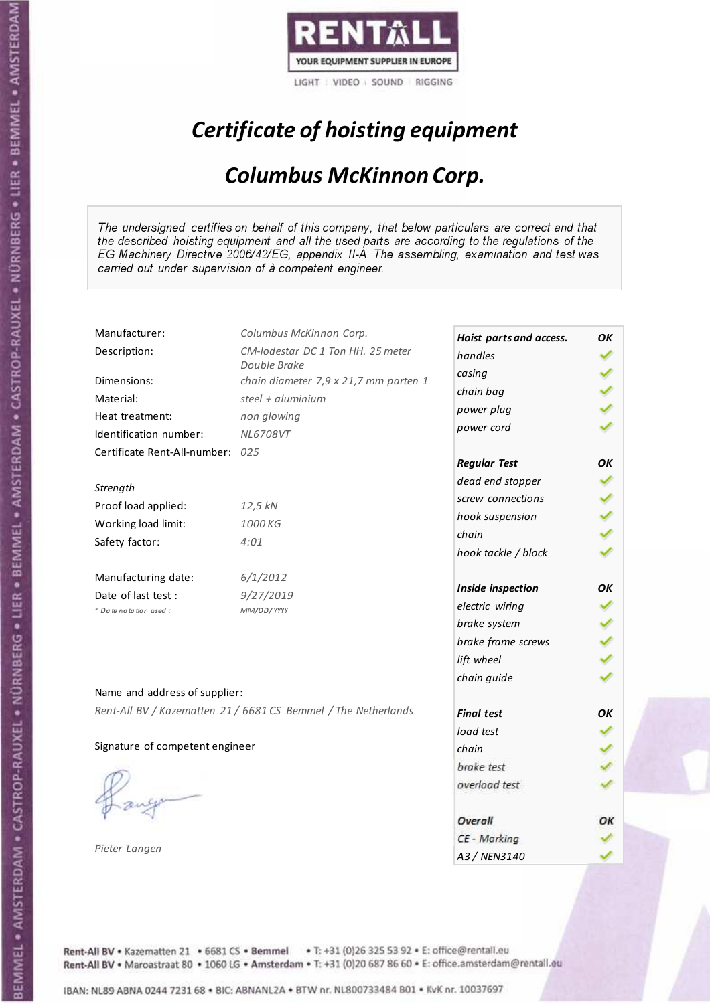

# Certificate of hoisting equipment

### Columbus McKinnon Corp.

The undersigned certifies on behalf of this company, that below particulars are correct and that the described hoisting equipment and all the used parts are according to the regulations of the EG Machinery Directive 2006/42/EG, appendix II-A. The assembling, examination and test was carried out under supervision of à competent engineer.

| Manufacturer:                    | Columbus McKinnon Corp.                                        | Hoist parts and access. | OК |
|----------------------------------|----------------------------------------------------------------|-------------------------|----|
| Description:                     | CM-lodestar DC 1 Ton HH. 25 meter                              | handles                 |    |
|                                  | Double Brake                                                   | casing                  |    |
| Dimensions:                      | chain diameter 7,9 x 21,7 mm parten 1                          | chain bag               |    |
| Material:                        | steel + aluminium                                              | power plug              |    |
| Heat treatment:                  | non glowing                                                    | power cord              |    |
| Identification number:           | NL6708VT                                                       |                         |    |
| Certificate Rent-All-number: 025 |                                                                | <b>Regular Test</b>     | OK |
| Strength                         |                                                                | dead end stopper        |    |
|                                  |                                                                | screw connections       |    |
| Proof load applied:              | 12,5 kN                                                        | hook suspension         |    |
| Working load limit:              | 1000 KG                                                        | chain                   |    |
| Safety factor:                   | 4:01                                                           | hook tackle / block     |    |
| Manufacturing date:              | 6/1/2012                                                       |                         |    |
| Date of last test :              | 9/27/2019                                                      | Inside inspection       | ΟK |
| + Date notation used :           | MM/DD/YYYY                                                     | electric wiring         |    |
|                                  |                                                                | brake system            |    |
|                                  |                                                                | brake frame screws      |    |
|                                  |                                                                | lift wheel              |    |
| Name and address of supplier:    |                                                                | chain guide             |    |
|                                  | Rent-All BV / Kazematten 21 / 6681 CS Bemmel / The Netherlands |                         |    |
|                                  |                                                                | <b>Final test</b>       | OK |
|                                  |                                                                | load test               |    |
| Signature of competent engineer  |                                                                | chain                   |    |
|                                  |                                                                | brake test              |    |
|                                  |                                                                | overload test           |    |
|                                  |                                                                | Overall                 | ОК |
|                                  |                                                                | CE - Marking            |    |
| Pieter Langen                    |                                                                | A3 / NEN3140            |    |

Rent-All BV . Kazematten 21 . 6681 CS . Bemmel . T: +31 (0)26 325 53 92 . E: office@rentall.eu Rent-All BV · Maroastraat 80 · 1060 LG · Amsterdam · T: +31 (0)20 687 86 60 · E: office.amsterdam@rentall.eu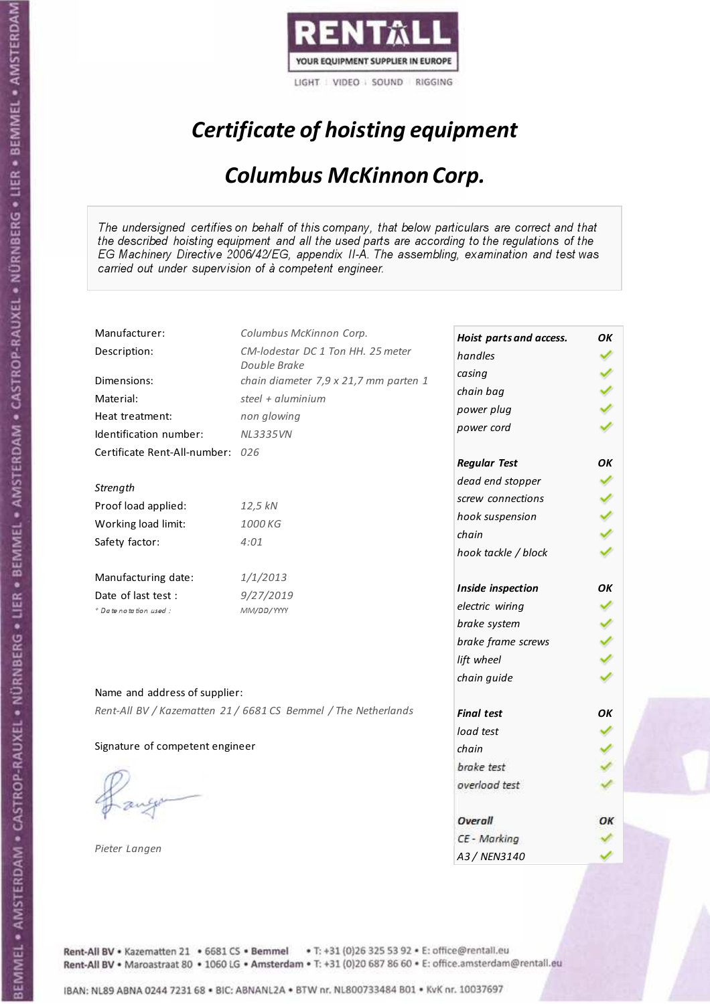

# Certificate of hoisting equipment

### Columbus McKinnon Corp.

The undersigned certifies on behalf of this company, that below particulars are correct and that the described hoisting equipment and all the used parts are according to the regulations of the EG Machinery Directive 2006/42/EG, appendix II-A. The assembling, examination and test was carried out under supervision of à competent engineer.

| Manufacturer:                    | Columbus McKinnon Corp.                                        | Hoist parts and access. | OК |
|----------------------------------|----------------------------------------------------------------|-------------------------|----|
| Description:                     | CM-lodestar DC 1 Ton HH. 25 meter                              | handles                 |    |
|                                  | Double Brake                                                   | casing                  |    |
| Dimensions:                      | chain diameter 7,9 x 21,7 mm parten 1                          | chain bag               |    |
| Material:                        | steel + $aluminim$                                             | power plug              |    |
| Heat treatment:                  | non glowing                                                    | power cord              |    |
| Identification number:           | <b>NL3335VN</b>                                                |                         |    |
| Certificate Rent-All-number: 026 |                                                                | <b>Regular Test</b>     | OК |
| Strength                         |                                                                | dead end stopper        |    |
| Proof load applied:              | 12,5 kN                                                        | screw connections       |    |
|                                  | 1000 KG                                                        | hook suspension         |    |
| Working load limit:              |                                                                | chain                   |    |
| Safety factor:                   | 4:01                                                           | hook tackle / block     |    |
| Manufacturing date:              | 1/1/2013                                                       |                         |    |
| Date of last test :              | 9/27/2019                                                      | Inside inspection       | ΟK |
| + Date notation used :           | MM/DD/YYYY                                                     | electric wiring         |    |
|                                  |                                                                | brake system            |    |
|                                  |                                                                | brake frame screws      |    |
|                                  |                                                                | lift wheel              |    |
| Name and address of supplier:    |                                                                | chain guide             |    |
|                                  | Rent-All BV / Kazematten 21 / 6681 CS Bemmel / The Netherlands |                         |    |
|                                  |                                                                | <b>Final test</b>       | OK |
|                                  |                                                                | load test               |    |
| Signature of competent engineer  |                                                                | chain                   |    |
|                                  |                                                                | brake test              |    |
|                                  |                                                                | overload test           |    |
|                                  |                                                                | Overall                 | ОК |
|                                  |                                                                | CE - Marking            |    |
| Pieter Langen                    |                                                                | A3 / NEN3140            |    |

Rent-All BV . Kazematten 21 . 6681 CS . Bemmel . T: +31 (0)26 325 53 92 . E: office@rentall.eu Rent-All BV · Maroastraat 80 · 1060 LG · Amsterdam · T: +31 (0)20 687 86 60 · E: office.amsterdam@rentall.eu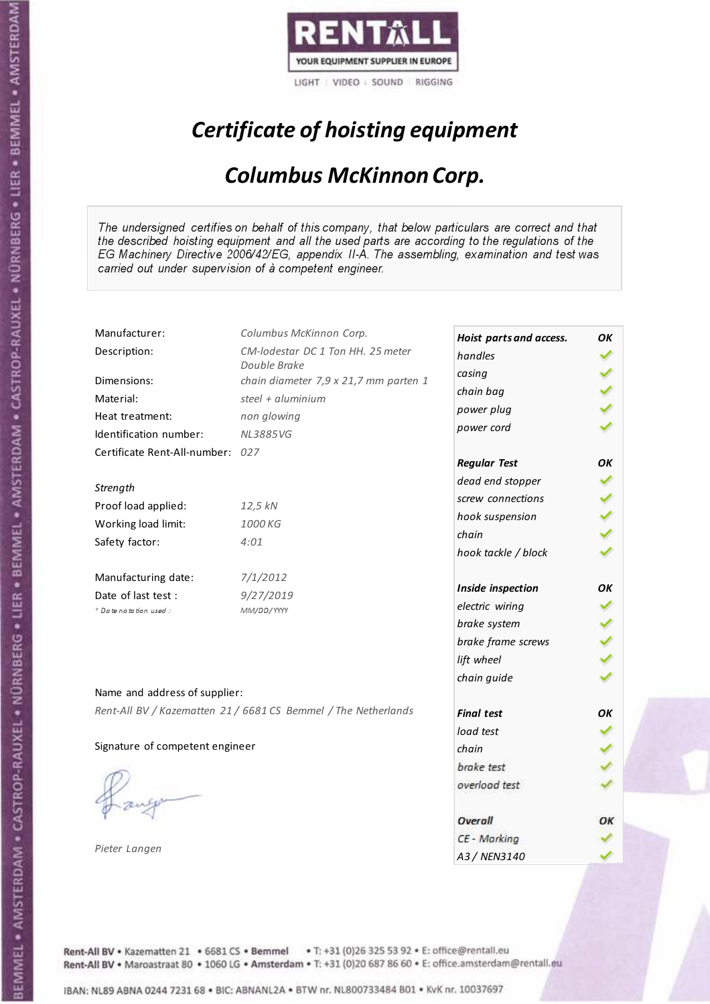

# Certificate of hoisting equipment

### Columbus McKinnon Corp.

The undersigned certifies on behalf of this company, that below particulars are correct and that the described hoisting equipment and all the used parts are according to the regulations of the EG Machinery Directive 2006/42/EG, appendix II-A. The assembling, examination and test was carried out under supervision of à competent engineer.

| Manufacturer:                    | Columbus McKinnon Corp.                                        | Hoist parts and access. | OК |
|----------------------------------|----------------------------------------------------------------|-------------------------|----|
| Description:                     | CM-lodestar DC 1 Ton HH. 25 meter                              | handles                 |    |
|                                  | Double Brake                                                   | casing                  |    |
| Dimensions:                      | chain diameter 7,9 x 21,7 mm parten 1                          | chain bag               |    |
| Material:                        | steel + aluminium                                              | power plug              |    |
| Heat treatment:                  | non glowing                                                    | power cord              |    |
| Identification number:           | <b>NL3885VG</b>                                                |                         |    |
| Certificate Rent-All-number: 027 |                                                                | <b>Regular Test</b>     | OK |
| Strength                         |                                                                | dead end stopper        |    |
|                                  |                                                                | screw connections       |    |
| Proof load applied:              | 12,5 kN                                                        | hook suspension         |    |
| Working load limit:              | 1000 KG                                                        | chain                   |    |
| Safety factor:                   | 4:01                                                           | hook tackle / block     |    |
| Manufacturing date:              | 7/1/2012                                                       |                         |    |
| Date of last test :              | 9/27/2019                                                      | Inside inspection       | ΟK |
| + Date notation used :           | MM/DD/YYYY                                                     | electric wiring         |    |
|                                  |                                                                | brake system            |    |
|                                  |                                                                | brake frame screws      |    |
|                                  |                                                                | lift wheel              |    |
| Name and address of supplier:    |                                                                | chain guide             |    |
|                                  | Rent-All BV / Kazematten 21 / 6681 CS Bemmel / The Netherlands |                         |    |
|                                  |                                                                | <b>Final test</b>       | OK |
|                                  |                                                                | load test               |    |
| Signature of competent engineer  |                                                                | chain                   |    |
|                                  |                                                                | brake test              |    |
|                                  |                                                                | overload test           |    |
|                                  |                                                                | Overall                 | ОК |
|                                  |                                                                | CE - Marking            |    |
| Pieter Langen                    |                                                                | A3 / NEN3140            |    |

Rent-All BV . Kazematten 21 . 6681 CS . Bemmel . T: +31 (0)26 325 53 92 . E: office@rentall.eu Rent-All BV · Maroastraat 80 · 1060 LG · Amsterdam · T: +31 (0)20 687 86 60 · E: office.amsterdam@rentall.eu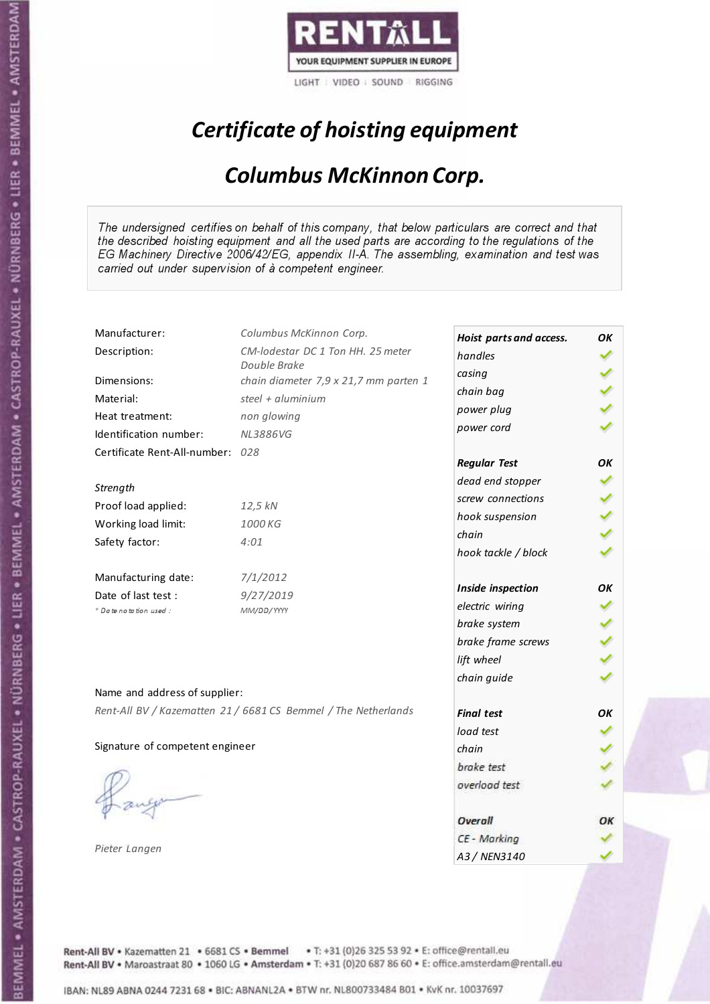

# Certificate of hoisting equipment

### Columbus McKinnon Corp.

The undersigned certifies on behalf of this company, that below particulars are correct and that the described hoisting equipment and all the used parts are according to the regulations of the EG Machinery Directive 2006/42/EG, appendix II-A. The assembling, examination and test was carried out under supervision of à competent engineer.

| Manufacturer:                    | Columbus McKinnon Corp.                                        | Hoist parts and access. | OК |
|----------------------------------|----------------------------------------------------------------|-------------------------|----|
| Description:                     | CM-lodestar DC 1 Ton HH. 25 meter                              | handles                 |    |
|                                  | Double Brake                                                   | casing                  |    |
| Dimensions:                      | chain diameter 7,9 x 21,7 mm parten 1                          | chain bag               |    |
| Material:                        | steel + aluminium                                              | power plug              |    |
| Heat treatment:                  | non glowing                                                    | power cord              |    |
| Identification number:           | <b>NL3886VG</b>                                                |                         |    |
| Certificate Rent-All-number: 028 |                                                                | <b>Regular Test</b>     | OK |
| Strength                         |                                                                | dead end stopper        |    |
|                                  |                                                                | screw connections       |    |
| Proof load applied:              | 12,5 kN                                                        | hook suspension         |    |
| Working load limit:              | 1000 KG                                                        | chain                   |    |
| Safety factor:                   | 4:01                                                           | hook tackle / block     |    |
| Manufacturing date:              | 7/1/2012                                                       |                         |    |
| Date of last test :              | 9/27/2019                                                      | Inside inspection       | ΟK |
| + Date notation used :           | MM/DD/YYYY                                                     | electric wiring         |    |
|                                  |                                                                | brake system            |    |
|                                  |                                                                | brake frame screws      |    |
|                                  |                                                                | lift wheel              |    |
|                                  |                                                                | chain guide             |    |
| Name and address of supplier:    |                                                                |                         |    |
|                                  | Rent-All BV / Kazematten 21 / 6681 CS Bemmel / The Netherlands | <b>Final test</b>       | OK |
|                                  |                                                                | load test               |    |
| Signature of competent engineer  |                                                                | chain                   |    |
|                                  |                                                                | brake test              |    |
|                                  |                                                                | overload test           |    |
|                                  |                                                                | Overall                 | ОК |
|                                  |                                                                | CE - Marking            |    |
| Pieter Langen                    |                                                                | A3 / NEN3140            |    |

Rent-All BV . Kazematten 21 . 6681 CS . Bemmel . T: +31 (0)26 325 53 92 . E: office@rentall.eu Rent-All BV · Maroastraat 80 · 1060 LG · Amsterdam · T: +31 (0)20 687 86 60 · E: office.amsterdam@rentall.eu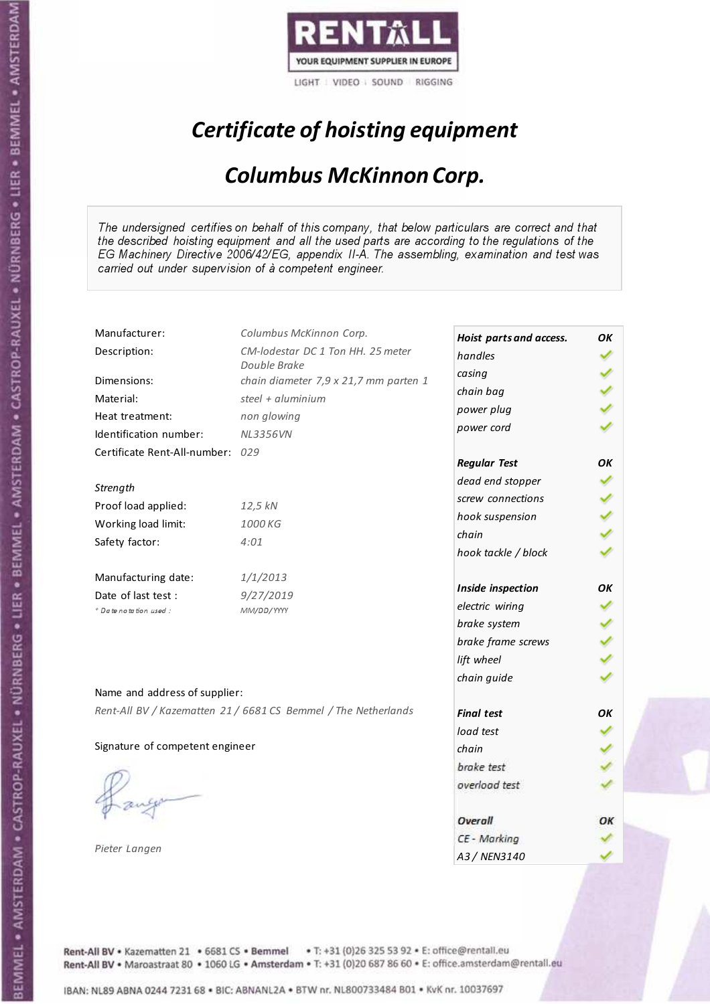

# Certificate of hoisting equipment

### Columbus McKinnon Corp.

The undersigned certifies on behalf of this company, that below particulars are correct and that the described hoisting equipment and all the used parts are according to the regulations of the EG Machinery Directive 2006/42/EG, appendix II-A. The assembling, examination and test was carried out under supervision of à competent engineer.

| Manufacturer:                    | Columbus McKinnon Corp.                                        | Hoist parts and access. | OК |
|----------------------------------|----------------------------------------------------------------|-------------------------|----|
| Description:                     | CM-lodestar DC 1 Ton HH. 25 meter                              | handles                 |    |
|                                  | Double Brake                                                   | casing                  |    |
| Dimensions:                      | chain diameter 7,9 x 21,7 mm parten 1                          | chain bag               |    |
| Material:                        | steel + aluminium                                              | power plug              |    |
| Heat treatment:                  | non glowing                                                    | power cord              |    |
| Identification number:           | <b>NL3356VN</b>                                                |                         |    |
| Certificate Rent-All-number: 029 |                                                                | <b>Regular Test</b>     | OK |
| Strength                         |                                                                | dead end stopper        |    |
| Proof load applied:              | 12,5 kN                                                        | screw connections       |    |
|                                  | 1000 KG                                                        | hook suspension         |    |
| Working load limit:              |                                                                | chain                   |    |
| Safety factor:                   | 4:01                                                           | hook tackle / block     |    |
| Manufacturing date:              | 1/1/2013                                                       |                         |    |
| Date of last test :              | 9/27/2019                                                      | Inside inspection       | ΟK |
| + Date notation used :           | MM/DD/YYYY                                                     | electric wiring         |    |
|                                  |                                                                | brake system            |    |
|                                  |                                                                | brake frame screws      |    |
|                                  |                                                                | lift wheel              |    |
| Name and address of supplier:    |                                                                | chain guide             |    |
|                                  | Rent-All BV / Kazematten 21 / 6681 CS Bemmel / The Netherlands | <b>Final test</b>       | OK |
|                                  |                                                                | load test               |    |
| Signature of competent engineer  |                                                                | chain                   |    |
|                                  |                                                                | brake test              |    |
|                                  |                                                                | overload test           |    |
|                                  |                                                                | Overall                 | ОК |
|                                  |                                                                | CE - Marking            |    |
| Pieter Langen                    |                                                                | A3 / NEN3140            |    |

Rent-All BV . Kazematten 21 . 6681 CS . Bemmel . T: +31 (0)26 325 53 92 . E: office@rentall.eu Rent-All BV · Maroastraat 80 · 1060 LG · Amsterdam · T: +31 (0)20 687 86 60 · E: office.amsterdam@rentall.eu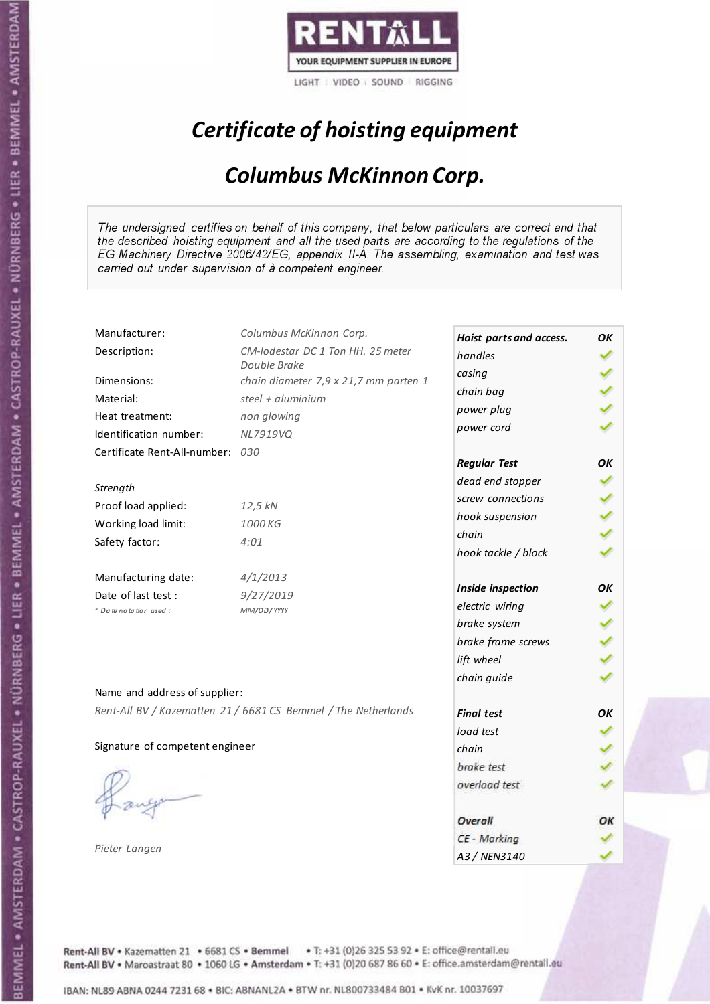

# Certificate of hoisting equipment

### Columbus McKinnon Corp.

The undersigned certifies on behalf of this company, that below particulars are correct and that the described hoisting equipment and all the used parts are according to the regulations of the EG Machinery Directive 2006/42/EG, appendix II-A. The assembling, examination and test was carried out under supervision of à competent engineer.

| Manufacturer:                    | Columbus McKinnon Corp.                                        | Hoist parts and access. | OК |
|----------------------------------|----------------------------------------------------------------|-------------------------|----|
| Description:                     | CM-lodestar DC 1 Ton HH. 25 meter                              | handles                 |    |
|                                  | Double Brake                                                   | casing                  |    |
| Dimensions:                      | chain diameter 7,9 x 21,7 mm parten 1                          | chain bag               |    |
| Material:                        | steel + aluminium                                              | power plug              |    |
| Heat treatment:                  | non glowing                                                    | power cord              |    |
| Identification number:           | NL7919VQ                                                       |                         |    |
| Certificate Rent-All-number: 030 |                                                                | <b>Regular Test</b>     | OK |
| Strength                         |                                                                | dead end stopper        |    |
| Proof load applied:              | 12,5 kN                                                        | screw connections       |    |
|                                  | 1000 KG                                                        | hook suspension         |    |
| Working load limit:              |                                                                | chain                   |    |
| Safety factor:                   | 4:01                                                           | hook tackle / block     |    |
| Manufacturing date:              | 4/1/2013                                                       |                         |    |
| Date of last test :              | 9/27/2019                                                      | Inside inspection       | ΟK |
| + Date notation used :           | MM/DD/YYYY                                                     | electric wiring         |    |
|                                  |                                                                | brake system            |    |
|                                  |                                                                | brake frame screws      |    |
|                                  |                                                                | lift wheel              |    |
| Name and address of supplier:    |                                                                | chain guide             |    |
|                                  | Rent-All BV / Kazematten 21 / 6681 CS Bemmel / The Netherlands |                         |    |
|                                  |                                                                | <b>Final test</b>       | OK |
|                                  |                                                                | load test               |    |
| Signature of competent engineer  |                                                                | chain                   |    |
|                                  |                                                                | brake test              |    |
|                                  |                                                                | overload test           |    |
|                                  |                                                                | Overall                 | ОК |
|                                  |                                                                | CE - Marking            |    |
| Pieter Langen                    |                                                                | A3 / NEN3140            |    |

Rent-All BV . Kazematten 21 . 6681 CS . Bemmel . T: +31 (0)26 325 53 92 . E: office@rentall.eu Rent-All BV · Maroastraat 80 · 1060 LG · Amsterdam · T: +31 (0)20 687 86 60 · E: office.amsterdam@rentall.eu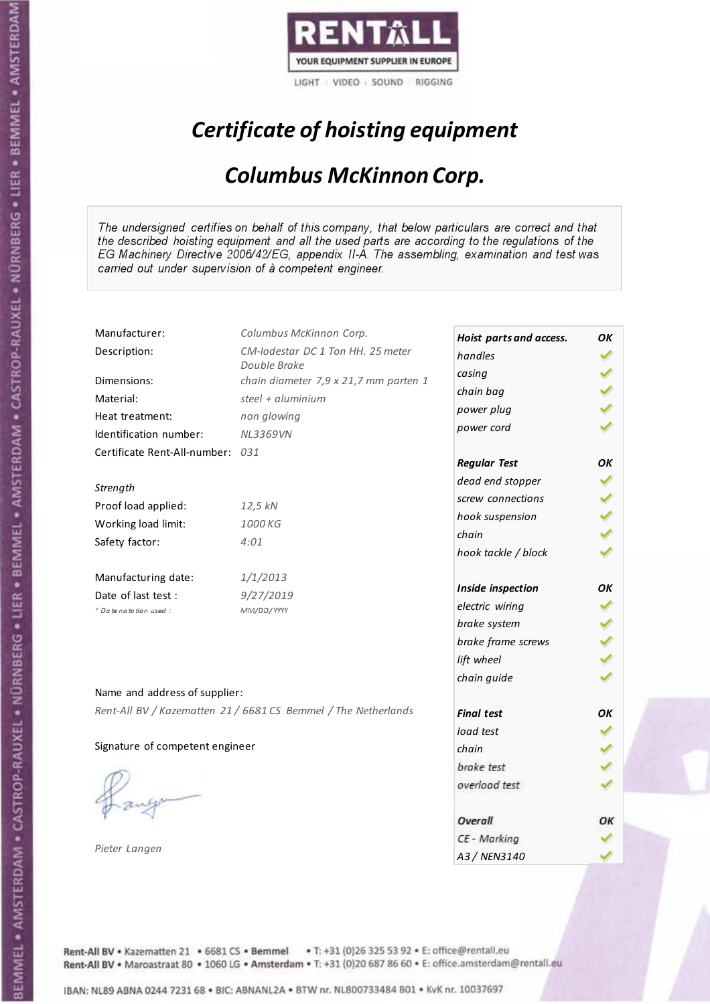

# Certificate of hoisting equipment

### Columbus McKinnon Corp.

The undersigned certifies on behalf of this company, that below particulars are correct and that the described hoisting equipment and all the used parts are according to the regulations of the EG Machinery Directive 2006/42/EG, appendix II-A. The assembling, examination and test was carried out under supervision of à competent engineer.

| Manufacturer:                    | Columbus McKinnon Corp.                                        | Hoist parts and access. | OК |
|----------------------------------|----------------------------------------------------------------|-------------------------|----|
| Description:                     | CM-lodestar DC 1 Ton HH. 25 meter                              | handles                 |    |
|                                  | Double Brake                                                   | casing                  |    |
| Dimensions:                      | chain diameter 7,9 x 21,7 mm parten 1                          | chain bag               |    |
| Material:                        | steel + aluminium                                              | power plug              |    |
| Heat treatment:                  | non glowing                                                    | power cord              |    |
| Identification number:           | <b>NL3369VN</b>                                                |                         |    |
| Certificate Rent-All-number: 031 |                                                                | <b>Regular Test</b>     | OK |
| Strength                         |                                                                | dead end stopper        |    |
| Proof load applied:              | 12,5 kN                                                        | screw connections       |    |
|                                  | 1000 KG                                                        | hook suspension         |    |
| Working load limit:              |                                                                | chain                   |    |
| Safety factor:                   | 4:01                                                           | hook tackle / block     |    |
| Manufacturing date:              | 1/1/2013                                                       |                         |    |
| Date of last test :              | 9/27/2019                                                      | Inside inspection       | ΟK |
| + Date notation used :           | MM/DD/YYYY                                                     | electric wiring         |    |
|                                  |                                                                | brake system            |    |
|                                  |                                                                | brake frame screws      |    |
|                                  |                                                                | lift wheel              |    |
| Name and address of supplier:    |                                                                | chain guide             |    |
|                                  | Rent-All BV / Kazematten 21 / 6681 CS Bemmel / The Netherlands |                         |    |
|                                  |                                                                | <b>Final test</b>       | OK |
|                                  |                                                                | load test               |    |
| Signature of competent engineer  |                                                                | chain                   |    |
|                                  |                                                                | brake test              |    |
|                                  |                                                                | overload test           |    |
|                                  |                                                                | Overall                 | ОК |
|                                  |                                                                | CE - Marking            |    |
| Pieter Langen                    |                                                                | A3 / NEN3140            |    |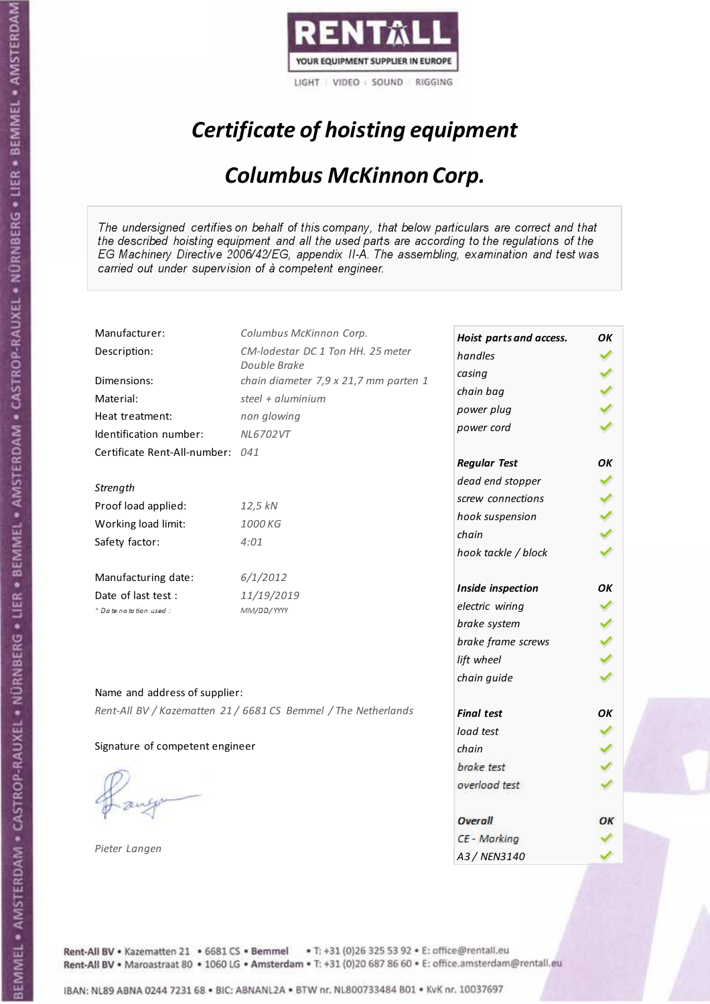

# Certificate of hoisting equipment

### Columbus McKinnon Corp.

The undersigned certifies on behalf of this company, that below particulars are correct and that the described hoisting equipment and all the used parts are according to the regulations of the EG Machinery Directive 2006/42/EG, appendix II-A. The assembling, examination and test was carried out under supervision of à competent engineer.

| Manufacturer:                    | Columbus McKinnon Corp.                                        | Hoist parts and access. | OK |
|----------------------------------|----------------------------------------------------------------|-------------------------|----|
| Description:                     | CM-lodestar DC 1 Ton HH, 25 meter                              | handles                 |    |
|                                  | Double Brake                                                   | casing                  |    |
| Dimensions:                      | chain diameter 7,9 x 21,7 mm parten 1                          | chain bag               |    |
| Material:                        | steel + $aluminium$                                            | power plug              |    |
| Heat treatment:                  | non glowing                                                    | power cord              |    |
| Identification number:           | NL6702VT                                                       |                         |    |
| Certificate Rent-All-number: 041 |                                                                | <b>Regular Test</b>     | OK |
| Strength                         |                                                                | dead end stopper        |    |
| Proof load applied:              | 12,5 kN                                                        | screw connections       |    |
| Working load limit:              | 1000 KG                                                        | hook suspension         |    |
|                                  | 4:01                                                           | chain                   |    |
| Safety factor:                   |                                                                | hook tackle / block     |    |
| Manufacturing date:              | 6/1/2012                                                       |                         |    |
| Date of last test :              | 11/19/2019                                                     | Inside inspection       | OΚ |
| * Date notation used :           | MM/DD/YYYY                                                     | electric wiring         |    |
|                                  |                                                                | brake system            |    |
|                                  |                                                                | brake frame screws      |    |
|                                  |                                                                | lift wheel              |    |
| Name and address of supplier:    |                                                                | chain guide             |    |
|                                  | Rent-All BV / Kazematten 21 / 6681 CS Bemmel / The Netherlands | <b>Final test</b>       | OK |
|                                  |                                                                | load test               |    |
| Signature of competent engineer  |                                                                | chain                   |    |
|                                  |                                                                | brake test              |    |
|                                  |                                                                | overload test           |    |
|                                  |                                                                |                         |    |
|                                  |                                                                | Overall                 | ОК |
|                                  |                                                                | CE - Marking            |    |
| Pieter Langen                    |                                                                | A3 / NEN3140            |    |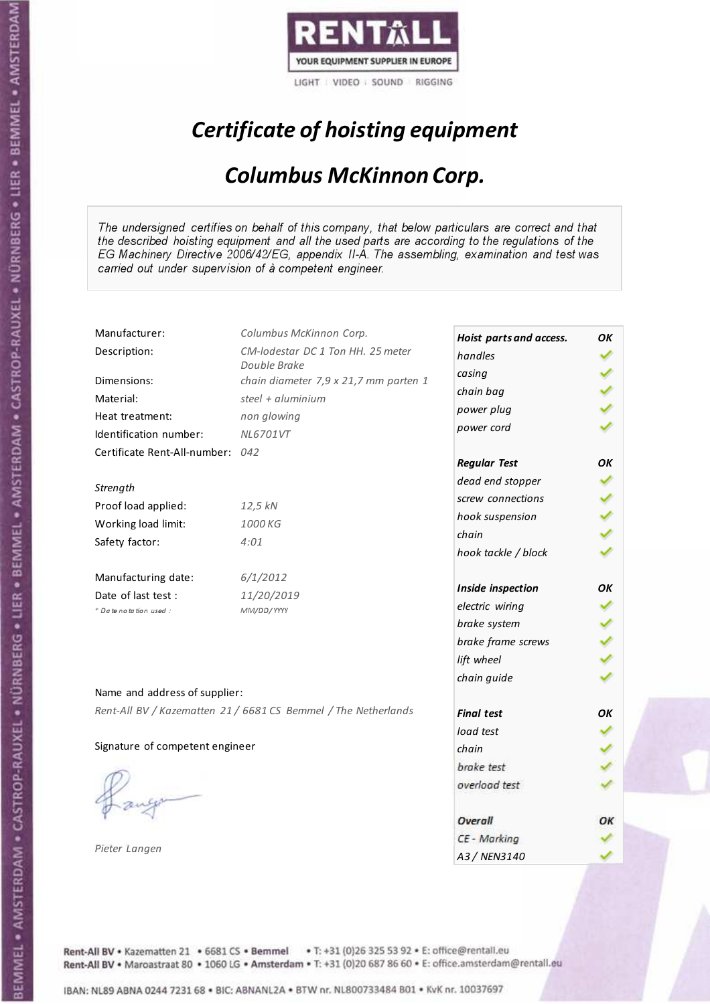

# Certificate of hoisting equipment

### Columbus McKinnon Corp.

The undersigned certifies on behalf of this company, that below particulars are correct and that the described hoisting equipment and all the used parts are according to the regulations of the EG Machinery Directive 2006/42/EG, appendix II-A. The assembling, examination and test was carried out under supervision of à competent engineer.

| Manufacturer:                    | Columbus McKinnon Corp.                                        | Hoist parts and access. | OK |
|----------------------------------|----------------------------------------------------------------|-------------------------|----|
| Description:                     | CM-lodestar DC 1 Ton HH. 25 meter                              | handles                 |    |
|                                  | Double Brake                                                   | casing                  |    |
| Dimensions:                      | chain diameter 7,9 x 21,7 mm parten 1                          | chain bag               |    |
| Material:                        | steel + aluminium                                              | power plug              |    |
| Heat treatment:                  | non glowing                                                    | power cord              |    |
| Identification number:           | NL6701VT                                                       |                         |    |
| Certificate Rent-All-number: 042 |                                                                | <b>Regular Test</b>     | OК |
| Strength                         |                                                                | dead end stopper        |    |
| Proof load applied:              | 12,5 kN                                                        | screw connections       |    |
|                                  |                                                                | hook suspension         |    |
| Working load limit:              | 1000 KG                                                        | chain                   |    |
| Safety factor:                   | 4:01                                                           | hook tackle / block     |    |
| Manufacturing date:              | 6/1/2012                                                       |                         |    |
| Date of last test :              | 11/20/2019                                                     | Inside inspection       | OΚ |
| * Date notation used :           | MM/DD/YYYY                                                     | electric wiring         |    |
|                                  |                                                                | brake system            |    |
|                                  |                                                                | brake frame screws      |    |
|                                  |                                                                | lift wheel              |    |
| Name and address of supplier:    |                                                                | chain guide             |    |
|                                  | Rent-All BV / Kazematten 21 / 6681 CS Bemmel / The Netherlands | <b>Final test</b>       | OK |
|                                  |                                                                | load test               |    |
| Signature of competent engineer  |                                                                | chain                   |    |
|                                  |                                                                | brake test              |    |
|                                  |                                                                | overload test           |    |
|                                  |                                                                |                         |    |
|                                  |                                                                | Overall                 | ОК |
|                                  |                                                                | CE - Marking            |    |
| Pieter Langen                    |                                                                | A3 / NEN3140            |    |

Rent-All BV . Kazematten 21 . 6681 CS . Bemmel . T: +31 (0)26 325 53 92 . E: office@rentall.eu Rent-All BV · Maroastraat 80 · 1060 LG · Amsterdam · T: +31 (0)20 687 86 60 · E: office.amsterdam@rentall.eu